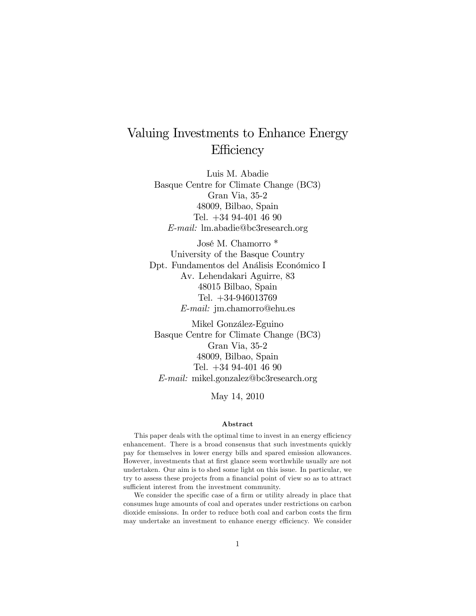# Valuing Investments to Enhance Energy **Efficiency**

Luis M. Abadie Basque Centre for Climate Change (BC3) Gran Via, 35-2 48009, Bilbao, Spain Tel. +34 94-401 46 90 E-mail: lm.abadie@bc3research.org

José M. Chamorro \* University of the Basque Country Dpt. Fundamentos del Análisis Económico I Av. Lehendakari Aguirre, 83 48015 Bilbao, Spain Tel. +34-946013769 E-mail: jm.chamorro@ehu.es

Mikel González-Eguino Basque Centre for Climate Change (BC3) Gran Via, 35-2 48009, Bilbao, Spain Tel. +34 94-401 46 90 E-mail: mikel.gonzalez@bc3research.org

May 14, 2010

#### Abstract

This paper deals with the optimal time to invest in an energy efficiency enhancement. There is a broad consensus that such investments quickly pay for themselves in lower energy bills and spared emission allowances. However, investments that at first glance seem worthwhile usually are not undertaken. Our aim is to shed some light on this issue. In particular, we try to assess these projects from a financial point of view so as to attract sufficient interest from the investment community.

We consider the specific case of a firm or utility already in place that consumes huge amounts of coal and operates under restrictions on carbon dioxide emissions. In order to reduce both coal and carbon costs the firm may undertake an investment to enhance energy efficiency. We consider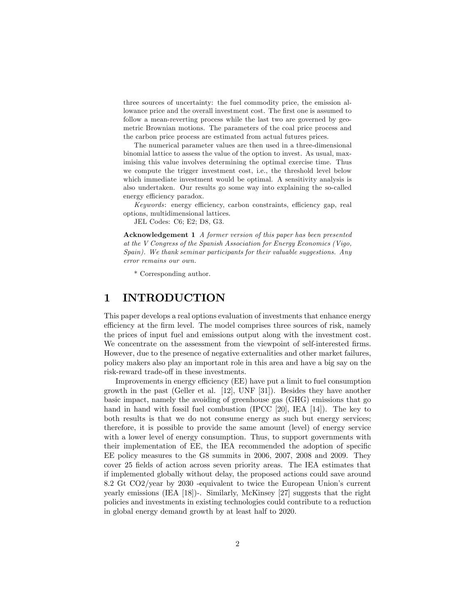three sources of uncertainty: the fuel commodity price, the emission allowance price and the overall investment cost. The first one is assumed to follow a mean-reverting process while the last two are governed by geometric Brownian motions. The parameters of the coal price process and the carbon price process are estimated from actual futures prices.

The numerical parameter values are then used in a three-dimensional binomial lattice to assess the value of the option to invest. As usual, maximising this value involves determining the optimal exercise time. Thus we compute the trigger investment cost, i.e., the threshold level below which immediate investment would be optimal. A sensitivity analysis is also undertaken. Our results go some way into explaining the so-called energy efficiency paradox.

Keywords: energy efficiency, carbon constraints, efficiency gap, real options, multidimensional lattices.

JEL Codes: C6; E2; D8, G3.

Acknowledgement 1 A former version of this paper has been presented at the V Congress of the Spanish Association for Energy Economics (Vigo, Spain). We thank seminar participants for their valuable suggestions. Any error remains our own.

\* Corresponding author.

### 1 INTRODUCTION

This paper develops a real options evaluation of investments that enhance energy efficiency at the firm level. The model comprises three sources of risk, namely the prices of input fuel and emissions output along with the investment cost. We concentrate on the assessment from the viewpoint of self-interested firms. However, due to the presence of negative externalities and other market failures, policy makers also play an important role in this area and have a big say on the risk-reward trade-off in these investments.

Improvements in energy efficiency (EE) have put a limit to fuel consumption growth in the past (Geller et al. [12], UNF [31]). Besides they have another basic impact, namely the avoiding of greenhouse gas (GHG) emissions that go hand in hand with fossil fuel combustion (IPCC [20], IEA [14]). The key to both results is that we do not consume energy as such but energy services; therefore, it is possible to provide the same amount (level) of energy service with a lower level of energy consumption. Thus, to support governments with their implementation of EE, the IEA recommended the adoption of specific EE policy measures to the G8 summits in 2006, 2007, 2008 and 2009. They cover 25 Öelds of action across seven priority areas. The IEA estimates that if implemented globally without delay, the proposed actions could save around 8.2 Gt CO2/year by 2030 -equivalent to twice the European Union's current yearly emissions (IEA [18])-. Similarly, McKinsey [27] suggests that the right policies and investments in existing technologies could contribute to a reduction in global energy demand growth by at least half to 2020.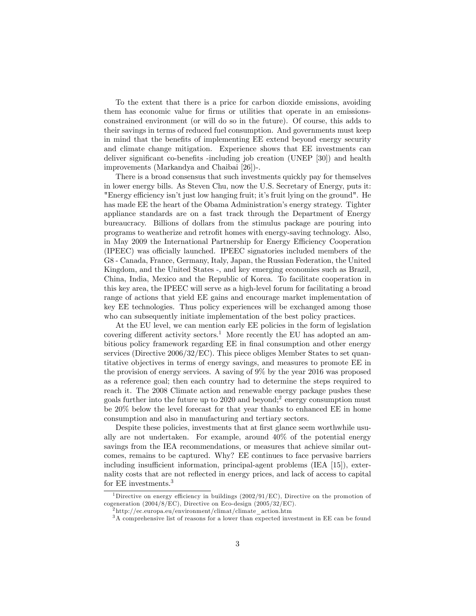To the extent that there is a price for carbon dioxide emissions, avoiding them has economic value for firms or utilities that operate in an emissionsconstrained environment (or will do so in the future). Of course, this adds to their savings in terms of reduced fuel consumption. And governments must keep in mind that the benefits of implementing EE extend beyond energy security and climate change mitigation. Experience shows that EE investments can deliver significant co-benefits -including job creation (UNEP [30]) and health improvements (Markandya and Chaibai [26])-.

There is a broad consensus that such investments quickly pay for themselves in lower energy bills. As Steven Chu, now the U.S. Secretary of Energy, puts it: "Energy efficiency isn't just low hanging fruit; it's fruit lying on the ground". He has made EE the heart of the Obama Administration's energy strategy. Tighter appliance standards are on a fast track through the Department of Energy bureaucracy. Billions of dollars from the stimulus package are pouring into programs to weatherize and retroÖt homes with energy-saving technology. Also, in May 2009 the International Partnership for Energy Efficiency Cooperation (IPEEC) was officially launched. IPEEC signatories included members of the G8 - Canada, France, Germany, Italy, Japan, the Russian Federation, the United Kingdom, and the United States -, and key emerging economies such as Brazil, China, India, Mexico and the Republic of Korea. To facilitate cooperation in this key area, the IPEEC will serve as a high-level forum for facilitating a broad range of actions that yield EE gains and encourage market implementation of key EE technologies. Thus policy experiences will be exchanged among those who can subsequently initiate implementation of the best policy practices.

At the EU level, we can mention early EE policies in the form of legislation covering different activity sectors.<sup>1</sup> More recently the EU has adopted an ambitious policy framework regarding EE in final consumption and other energy services (Directive 2006/32/EC). This piece obliges Member States to set quantitative objectives in terms of energy savings, and measures to promote EE in the provision of energy services. A saving of 9% by the year 2016 was proposed as a reference goal; then each country had to determine the steps required to reach it. The 2008 Climate action and renewable energy package pushes these goals further into the future up to 2020 and beyond;<sup>2</sup> energy consumption must be 20% below the level forecast for that year thanks to enhanced EE in home consumption and also in manufacturing and tertiary sectors.

Despite these policies, investments that at first glance seem worthwhile usually are not undertaken. For example, around 40% of the potential energy savings from the IEA recommendations, or measures that achieve similar outcomes, remains to be captured. Why? EE continues to face pervasive barriers including insufficient information, principal-agent problems (IEA [15]), externality costs that are not reflected in energy prices, and lack of access to capital for EE investments.<sup>3</sup>

<sup>&</sup>lt;sup>1</sup>Directive on energy efficiency in buildings  $(2002/91/EC)$ , Directive on the promotion of cogeneration (2004/8/EC), Directive on Eco-design (2005/32/EC).

 $^{2}$ http://ec.europa.eu/environment/climat/climate\_action.htm

<sup>&</sup>lt;sup>3</sup>A comprehensive list of reasons for a lower than expected investment in EE can be found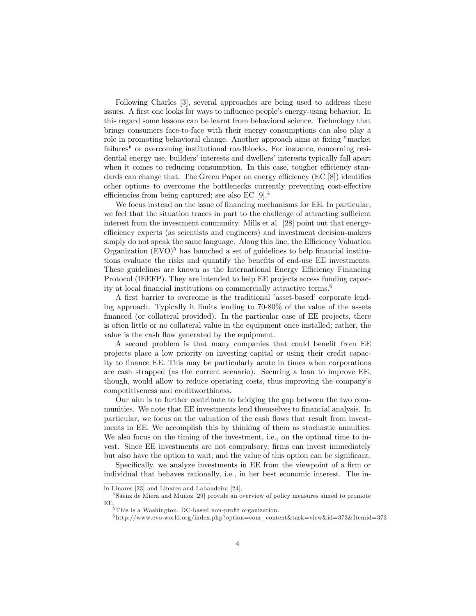Following Charles [3], several approaches are being used to address these issues. A first one looks for ways to influence people's energy-using behavior. In this regard some lessons can be learnt from behavioral science. Technology that brings consumers face-to-face with their energy consumptions can also play a role in promoting behavioral change. Another approach aims at fixing "market" failures" or overcoming institutional roadblocks. For instance, concerning residential energy use, builders' interests and dwellers' interests typically fall apart when it comes to reducing consumption. In this case, tougher efficiency standards can change that. The Green Paper on energy efficiency  $(EC [8])$  identifies other options to overcome the bottlenecks currently preventing cost-effective efficiencies from being captured; see also EC  $[9].4$ 

We focus instead on the issue of financing mechanisms for EE. In particular, we feel that the situation traces in part to the challenge of attracting sufficient interest from the investment community. Mills et al. [28] point out that energyefficiency experts (as scientists and engineers) and investment decision-makers simply do not speak the same language. Along this line, the Efficiency Valuation Organization  $(EVO)^5$  has launched a set of guidelines to help financial institutions evaluate the risks and quantify the benefits of end-use EE investments. These guidelines are known as the International Energy Efficiency Financing Protocol (IEEFP). They are intended to help EE projects access funding capacity at local financial institutions on commercially attractive terms. $6$ 

A first barrier to overcome is the traditional 'asset-based' corporate lending approach. Typically it limits lending to 70-80% of the value of the assets financed (or collateral provided). In the particular case of EE projects, there is often little or no collateral value in the equipment once installed; rather, the value is the cash flow generated by the equipment.

A second problem is that many companies that could benefit from EE projects place a low priority on investing capital or using their credit capacity to finance EE. This may be particularly acute in times when corporations are cash strapped (as the current scenario). Securing a loan to improve EE, though, would allow to reduce operating costs, thus improving the companyís competitiveness and creditworthiness.

Our aim is to further contribute to bridging the gap between the two communities. We note that EE investments lend themselves to financial analysis. In particular, we focus on the valuation of the cash flows that result from investments in EE. We accomplish this by thinking of them as stochastic annuities. We also focus on the timing of the investment, i.e., on the optimal time to invest. Since EE investments are not compulsory, firms can invest immediately but also have the option to wait; and the value of this option can be significant.

Specifically, we analyze investments in EE from the viewpoint of a firm or individual that behaves rationally, i.e., in her best economic interest. The in-

in Linares [23] and Linares and Labandeira [24].

 $4$ Sáenz de Miera and Muñoz [29] provide an overview of policy measures aimed to promote EE.

 $5$ This is a Washington, DC-based non-profit organization.

<sup>6</sup> http://www.evo-world.org/index.php?option=com\_content&task=view&id=373&Itemid=373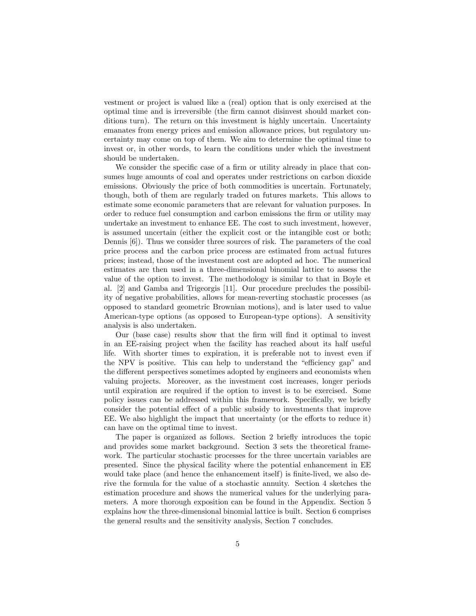vestment or project is valued like a (real) option that is only exercised at the optimal time and is irreversible (the Örm cannot disinvest should market conditions turn). The return on this investment is highly uncertain. Uncertainty emanates from energy prices and emission allowance prices, but regulatory uncertainty may come on top of them. We aim to determine the optimal time to invest or, in other words, to learn the conditions under which the investment should be undertaken.

We consider the specific case of a firm or utility already in place that consumes huge amounts of coal and operates under restrictions on carbon dioxide emissions. Obviously the price of both commodities is uncertain. Fortunately, though, both of them are regularly traded on futures markets. This allows to estimate some economic parameters that are relevant for valuation purposes. In order to reduce fuel consumption and carbon emissions the firm or utility may undertake an investment to enhance EE. The cost to such investment, however, is assumed uncertain (either the explicit cost or the intangible cost or both; Dennis [6]). Thus we consider three sources of risk. The parameters of the coal price process and the carbon price process are estimated from actual futures prices; instead, those of the investment cost are adopted ad hoc. The numerical estimates are then used in a three-dimensional binomial lattice to assess the value of the option to invest. The methodology is similar to that in Boyle et al. [2] and Gamba and Trigeorgis [11]. Our procedure precludes the possibility of negative probabilities, allows for mean-reverting stochastic processes (as opposed to standard geometric Brownian motions), and is later used to value American-type options (as opposed to European-type options). A sensitivity analysis is also undertaken.

Our (base case) results show that the Örm will Önd it optimal to invest in an EE-raising project when the facility has reached about its half useful life. With shorter times to expiration, it is preferable not to invest even if the NPV is positive. This can help to understand the "efficiency gap" and the different perspectives sometimes adopted by engineers and economists when valuing projects. Moreover, as the investment cost increases, longer periods until expiration are required if the option to invest is to be exercised. Some policy issues can be addressed within this framework. Specifically, we briefly consider the potential effect of a public subsidy to investments that improve  $EE.$  We also highlight the impact that uncertainty (or the efforts to reduce it) can have on the optimal time to invest.

The paper is organized as follows. Section 2 briefly introduces the topic and provides some market background. Section 3 sets the theoretical framework. The particular stochastic processes for the three uncertain variables are presented. Since the physical facility where the potential enhancement in EE would take place (and hence the enhancement itself) is finite-lived, we also derive the formula for the value of a stochastic annuity. Section 4 sketches the estimation procedure and shows the numerical values for the underlying parameters. A more thorough exposition can be found in the Appendix. Section 5 explains how the three-dimensional binomial lattice is built. Section 6 comprises the general results and the sensitivity analysis, Section 7 concludes.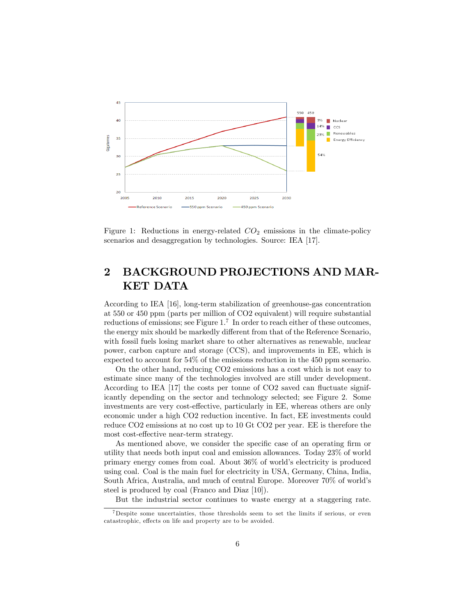

Figure 1: Reductions in energy-related  $CO<sub>2</sub>$  emissions in the climate-policy scenarios and desaggregation by technologies. Source: IEA [17].

## 2 BACKGROUND PROJECTIONS AND MAR-KET DATA

According to IEA [16], long-term stabilization of greenhouse-gas concentration at 550 or 450 ppm (parts per million of CO2 equivalent) will require substantial reductions of emissions; see Figure  $1<sup>7</sup>$  In order to reach either of these outcomes, the energy mix should be markedly different from that of the Reference Scenario, with fossil fuels losing market share to other alternatives as renewable, nuclear power, carbon capture and storage (CCS), and improvements in EE, which is expected to account for 54% of the emissions reduction in the 450 ppm scenario.

On the other hand, reducing CO2 emissions has a cost which is not easy to estimate since many of the technologies involved are still under development. According to IEA  $[17]$  the costs per tonne of CO2 saved can fluctuate significantly depending on the sector and technology selected; see Figure 2. Some investments are very cost-effective, particularly in EE, whereas others are only economic under a high CO2 reduction incentive. In fact, EE investments could reduce CO2 emissions at no cost up to 10 Gt CO2 per year. EE is therefore the most cost-effective near-term strategy.

As mentioned above, we consider the specific case of an operating firm or utility that needs both input coal and emission allowances. Today 23% of world primary energy comes from coal. About 36% of worldís electricity is produced using coal. Coal is the main fuel for electricity in USA, Germany, China, India, South Africa, Australia, and much of central Europe. Moreover 70% of worldís steel is produced by coal (Franco and Diaz [10]).

But the industrial sector continues to waste energy at a staggering rate.

 $7$ Despite some uncertainties, those thresholds seem to set the limits if serious, or even catastrophic, effects on life and property are to be avoided.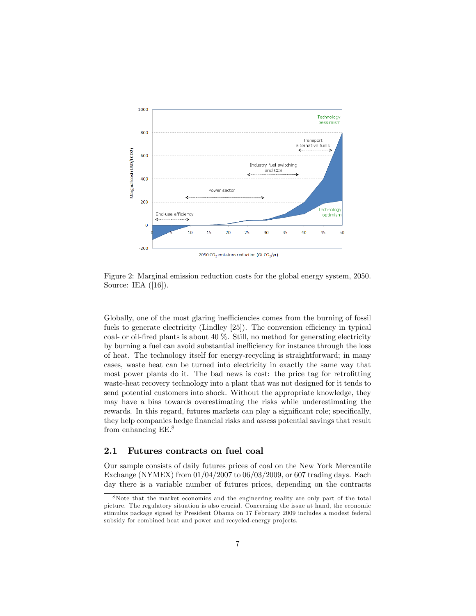

Figure 2: Marginal emission reduction costs for the global energy system, 2050. Source: IEA ([16]).

Globally, one of the most glaring inefficiencies comes from the burning of fossil fuels to generate electricity (Lindley  $[25]$ ). The conversion efficiency in typical coal- or oil-Öred plants is about 40 %. Still, no method for generating electricity by burning a fuel can avoid substantial inefficiency for instance through the loss of heat. The technology itself for energy-recycling is straightforward; in many cases, waste heat can be turned into electricity in exactly the same way that most power plants do it. The bad news is cost: the price tag for retrofitting waste-heat recovery technology into a plant that was not designed for it tends to send potential customers into shock. Without the appropriate knowledge, they may have a bias towards overestimating the risks while underestimating the rewards. In this regard, futures markets can play a significant role; specifically, they help companies hedge financial risks and assess potential savings that result from enhancing EE.<sup>8</sup>

### 2.1 Futures contracts on fuel coal

Our sample consists of daily futures prices of coal on the New York Mercantile Exchange (NYMEX) from 01/04/2007 to 06/03/2009, or 607 trading days. Each day there is a variable number of futures prices, depending on the contracts

<sup>&</sup>lt;sup>8</sup>Note that the market economics and the engineering reality are only part of the total picture. The regulatory situation is also crucial. Concerning the issue at hand, the economic stimulus package signed by President Obama on 17 February 2009 includes a modest federal subsidy for combined heat and power and recycled-energy projects.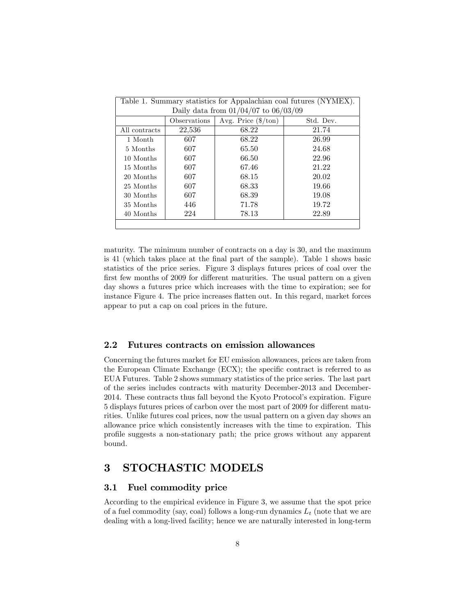| Table 1. Summary statistics for Appalachian coal futures (NYMEX). |                                          |       |       |  |  |  |
|-------------------------------------------------------------------|------------------------------------------|-------|-------|--|--|--|
|                                                                   | Daily data from $01/04/07$ to $06/03/09$ |       |       |  |  |  |
| Avg. Price $(\frac{4}{\pi})$<br>Observations<br>Std. Dev.         |                                          |       |       |  |  |  |
| All contracts                                                     | 22,536                                   | 68.22 | 21.74 |  |  |  |
| 1 Month                                                           | 607                                      | 68.22 | 26.99 |  |  |  |
| 5 Months                                                          | 607                                      | 65.50 | 24.68 |  |  |  |
| 10 Months                                                         | 607                                      | 66.50 | 22.96 |  |  |  |
| 15 Months                                                         | 607                                      | 67.46 | 21.22 |  |  |  |
| 20 Months                                                         | 607                                      | 68.15 | 20.02 |  |  |  |
| 25 Months                                                         | 607                                      | 68.33 | 19.66 |  |  |  |
| 30 Months                                                         | 607                                      | 68.39 | 19.08 |  |  |  |
| 35 Months                                                         | 446                                      | 71.78 | 19.72 |  |  |  |
| 40 Months                                                         | 224                                      | 78.13 | 22.89 |  |  |  |
|                                                                   |                                          |       |       |  |  |  |

maturity. The minimum number of contracts on a day is 30, and the maximum is 41 (which takes place at the Önal part of the sample). Table 1 shows basic statistics of the price series. Figure 3 displays futures prices of coal over the first few months of 2009 for different maturities. The usual pattern on a given day shows a futures price which increases with the time to expiration; see for instance Figure 4. The price increases áatten out. In this regard, market forces appear to put a cap on coal prices in the future.

#### 2.2 Futures contracts on emission allowances

Concerning the futures market for EU emission allowances, prices are taken from the European Climate Exchange (ECX); the specific contract is referred to as EUA Futures. Table 2 shows summary statistics of the price series. The last part of the series includes contracts with maturity December-2013 and December-2014. These contracts thus fall beyond the Kyoto Protocol's expiration. Figure 5 displays futures prices of carbon over the most part of 2009 for different maturities. Unlike futures coal prices, now the usual pattern on a given day shows an allowance price which consistently increases with the time to expiration. This proÖle suggests a non-stationary path; the price grows without any apparent bound.

## 3 STOCHASTIC MODELS

### 3.1 Fuel commodity price

According to the empirical evidence in Figure 3, we assume that the spot price of a fuel commodity (say, coal) follows a long-run dynamics  $L_t$  (note that we are dealing with a long-lived facility; hence we are naturally interested in long-term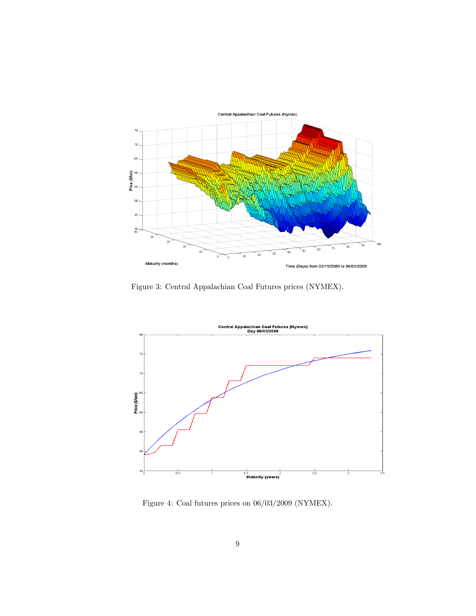

Figure 3: Central Appalachian Coal Futures prices (NYMEX).



Figure 4: Coal futures prices on 06/03/2009 (NYMEX).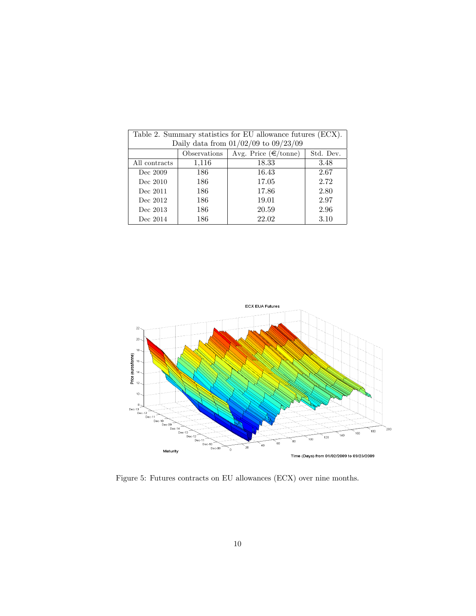| Table 2. Summary statistics for EU allowance futures (ECX). |                                                                   |       |      |  |  |  |
|-------------------------------------------------------------|-------------------------------------------------------------------|-------|------|--|--|--|
|                                                             | Daily data from $01/02/09$ to $09/23/09$                          |       |      |  |  |  |
|                                                             | Avg. Price $(\epsilon/\text{tonne})$<br>Observations<br>Std. Dev. |       |      |  |  |  |
| All contracts                                               | 1,116                                                             | 18.33 | 3.48 |  |  |  |
| Dec 2009                                                    | 186                                                               | 16.43 | 2.67 |  |  |  |
| Dec 2010                                                    | 186                                                               | 17.05 | 2.72 |  |  |  |
| Dec 2011                                                    | 186                                                               | 17.86 | 2.80 |  |  |  |
| Dec 2012                                                    | 186                                                               | 19.01 | 2.97 |  |  |  |
| Dec 2013                                                    | 186                                                               | 20.59 | 2.96 |  |  |  |
| Dec 2014                                                    | 186                                                               | 22.02 | 3.10 |  |  |  |



Figure 5: Futures contracts on EU allowances (ECX) over nine months.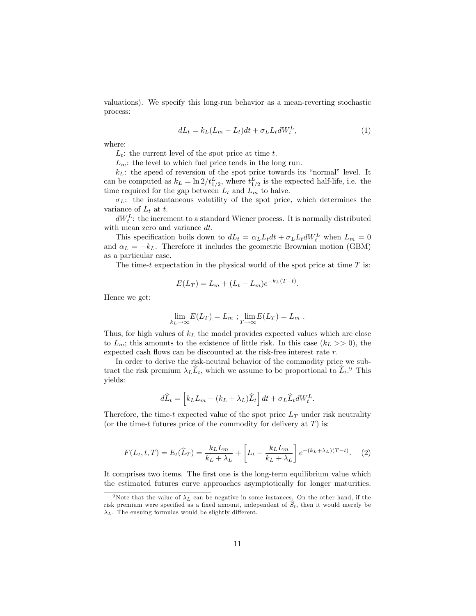valuations). We specify this long-run behavior as a mean-reverting stochastic process:

$$
dL_t = k_L(L_m - L_t)dt + \sigma_L L_t dW_t^L, \qquad (1)
$$

where:

 $L_t$ : the current level of the spot price at time t.

 $L_m$ : the level to which fuel price tends in the long run.

 $k<sub>L</sub>$ : the speed of reversion of the spot price towards its "normal" level. It can be computed as  $k_L = \ln 2/t_{1/2}^L$ , where  $t_{1/2}^L$  is the expected half-life, i.e. the time required for the gap between  $L_t$  and  $L_m$  to halve.

 $\sigma_L$ : the instantaneous volatility of the spot price, which determines the variance of  $L_t$  at t.

 $dW_t^L$ : the increment to a standard Wiener process. It is normally distributed with mean zero and variance dt.

This specification boils down to  $dL_t = \alpha_L L_t dt + \sigma_L L_t dW_t^L$  when  $L_m = 0$ and  $\alpha_L = -k_L$ . Therefore it includes the geometric Brownian motion (GBM) as a particular case.

The time-t expectation in the physical world of the spot price at time  $T$  is:

$$
E(L_T) = L_m + (L_t - L_m)e^{-k_L(T - t)}.
$$

Hence we get:

$$
\lim_{k_L \to \infty} E(L_T) = L_m ; \lim_{T \to \infty} E(L_T) = L_m .
$$

Thus, for high values of  $k<sub>L</sub>$  the model provides expected values which are close to  $L_m$ ; this amounts to the existence of little risk. In this case  $(k_L >> 0)$ , the expected cash flows can be discounted at the risk-free interest rate  $r$ .

In order to derive the risk-neutral behavior of the commodity price we subtract the risk premium  $\lambda_L \hat{L}_t$ , which we assume to be proportional to  $\hat{L}_t$ .<sup>9</sup> This yields:

$$
d\widehat{L}_t = \left[k_L L_m - (k_L + \lambda_L)\widehat{L}_t\right]dt + \sigma_L \widehat{L}_t dW_t^L.
$$

Therefore, the time-t expected value of the spot price  $L_T$  under risk neutrality (or the time-t futures price of the commodity for delivery at  $T$ ) is:

$$
F(L_t, t, T) = E_t(\widehat{L}_T) = \frac{k_L L_m}{k_L + \lambda_L} + \left[L_t - \frac{k_L L_m}{k_L + \lambda_L}\right] e^{-(k_L + \lambda_L)(T - t)}.
$$
 (2)

It comprises two items. The first one is the long-term equilibrium value which the estimated futures curve approaches asymptotically for longer maturities.

<sup>&</sup>lt;sup>9</sup>Note that the value of  $\lambda_L$  can be negative in some instances. On the other hand, if the risk premium were specified as a fixed amount, independent of  $\hat{S}_t$ , then it would merely be  $\lambda_L$ . The ensuing formulas would be slightly different.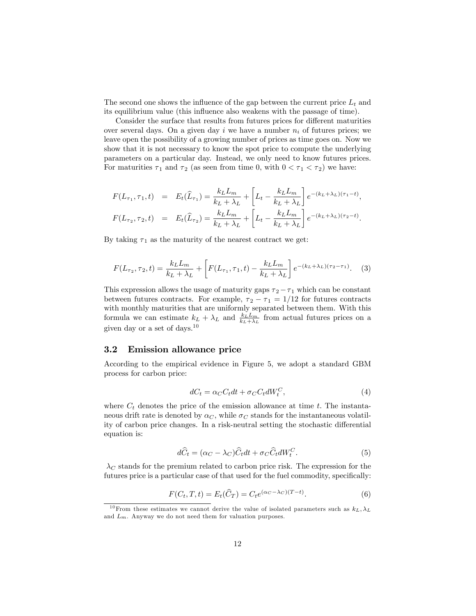The second one shows the influence of the gap between the current price  $L_t$  and its equilibrium value (this influence also weakens with the passage of time).

Consider the surface that results from futures prices for different maturities over several days. On a given day i we have a number  $n_i$  of futures prices; we leave open the possibility of a growing number of prices as time goes on. Now we show that it is not necessary to know the spot price to compute the underlying parameters on a particular day. Instead, we only need to know futures prices. For maturities  $\tau_1$  and  $\tau_2$  (as seen from time 0, with  $0 < \tau_1 < \tau_2$ ) we have:

$$
F(L_{\tau_1}, \tau_1, t) = E_t(\hat{L}_{\tau_1}) = \frac{k_L L_m}{k_L + \lambda_L} + \left[L_t - \frac{k_L L_m}{k_L + \lambda_L}\right] e^{-(k_L + \lambda_L)(\tau_1 - t)},
$$
  

$$
F(L_{\tau_2}, \tau_2, t) = E_t(\hat{L}_{\tau_2}) = \frac{k_L L_m}{k_L + \lambda_L} + \left[L_t - \frac{k_L L_m}{k_L + \lambda_L}\right] e^{-(k_L + \lambda_L)(\tau_2 - t)}.
$$

By taking  $\tau_1$  as the maturity of the nearest contract we get:

$$
F(L_{\tau_2}, \tau_2, t) = \frac{k_L L_m}{k_L + \lambda_L} + \left[ F(L_{\tau_1}, \tau_1, t) - \frac{k_L L_m}{k_L + \lambda_L} \right] e^{-(k_L + \lambda_L)(\tau_2 - \tau_1)}.
$$
 (3)

This expression allows the usage of maturity gaps  $\tau_2 - \tau_1$  which can be constant between futures contracts. For example,  $\tau_2-\tau_1=1/12$  for futures contracts with monthly maturities that are uniformly separated between them. With this formula we can estimate  $k_L + \lambda_L$  and  $\frac{k_L L_m}{k_L + \lambda_L}$  from actual futures prices on a given day or a set of days.<sup>10</sup>

### 3.2 Emission allowance price

According to the empirical evidence in Figure 5, we adopt a standard GBM process for carbon price:

$$
dC_t = \alpha_C C_t dt + \sigma_C C_t dW_t^C,\tag{4}
$$

where  $C_t$  denotes the price of the emission allowance at time  $t$ . The instantaneous drift rate is denoted by  $\alpha_C$ , while  $\sigma_C$  stands for the instantaneous volatility of carbon price changes. In a risk-neutral setting the stochastic differential equation is:

$$
d\hat{C}_t = (\alpha_C - \lambda_C)\hat{C}_t dt + \sigma_C \hat{C}_t dW_t^C.
$$
\n(5)

 $\lambda_C$  stands for the premium related to carbon price risk. The expression for the futures price is a particular case of that used for the fuel commodity, specifically:

$$
F(C_t, T, t) = E_t(\widehat{C}_T) = C_t e^{(\alpha_C - \lambda_C)(T - t)}.
$$
\n
$$
(6)
$$

<sup>&</sup>lt;sup>10</sup> From these estimates we cannot derive the value of isolated parameters such as  $k_L, \lambda_L$ and  $L_m$ . Anyway we do not need them for valuation purposes.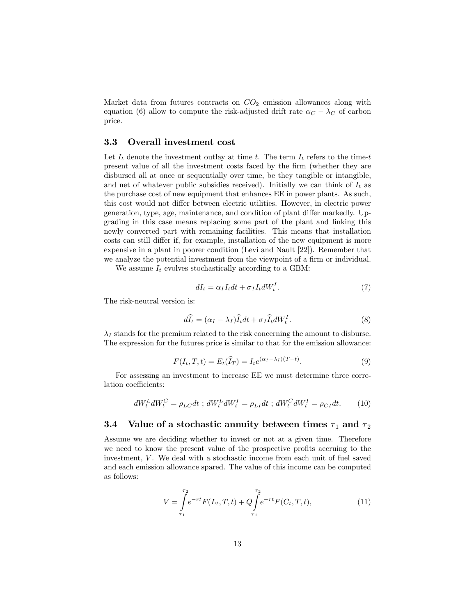Market data from futures contracts on  $CO<sub>2</sub>$  emission allowances along with equation (6) allow to compute the risk-adjusted drift rate  $\alpha_C - \lambda_C$  of carbon price.

### 3.3 Overall investment cost

Let  $I_t$  denote the investment outlay at time t. The term  $I_t$  refers to the time-t present value of all the investment costs faced by the Örm (whether they are disbursed all at once or sequentially over time, be they tangible or intangible, and net of whatever public subsidies received). Initially we can think of  $I_t$  as the purchase cost of new equipment that enhances EE in power plants. As such, this cost would not differ between electric utilities. However, in electric power generation, type, age, maintenance, and condition of plant differ markedly. Upgrading in this case means replacing some part of the plant and linking this newly converted part with remaining facilities. This means that installation costs can still differ if, for example, installation of the new equipment is more expensive in a plant in poorer condition (Levi and Nault [22]). Remember that we analyze the potential investment from the viewpoint of a firm or individual.

We assume  $I_t$  evolves stochastically according to a GBM:

$$
dI_t = \alpha_I I_t dt + \sigma_I I_t dW_t^I. \tag{7}
$$

The risk-neutral version is:

$$
d\widehat{I}_t = (\alpha_I - \lambda_I)\widehat{I}_t dt + \sigma_I \widehat{I}_t dW_t^I.
$$
\n(8)

 $\lambda_I$  stands for the premium related to the risk concerning the amount to disburse. The expression for the futures price is similar to that for the emission allowance:

$$
F(I_t, T, t) = E_t(\hat{I}_T) = I_t e^{(\alpha_I - \lambda_I)(T - t)}.
$$
\n(9)

For assessing an investment to increase EE we must determine three correlation coefficients:

$$
dW_t^L dW_t^C = \rho_{LC} dt \; ; \; dW_t^L dW_t^I = \rho_{LI} dt \; ; \; dW_t^C dW_t^I = \rho_{CI} dt. \tag{10}
$$

## 3.4 Value of a stochastic annuity between times  $\tau_1$  and  $\tau_2$

Assume we are deciding whether to invest or not at a given time. Therefore we need to know the present value of the prospective profits accruing to the investment,  $V$ . We deal with a stochastic income from each unit of fuel saved and each emission allowance spared. The value of this income can be computed as follows:

$$
V = \int_{\tau_1}^{\tau_2} e^{-rt} F(L_t, T, t) + Q \int_{\tau_1}^{\tau_2} e^{-rt} F(C_t, T, t), \tag{11}
$$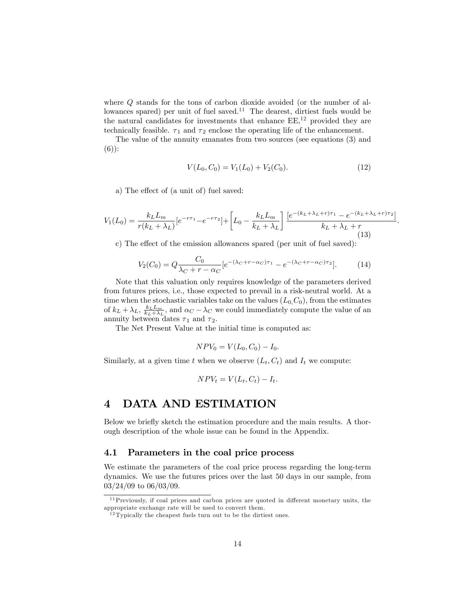where Q stands for the tons of carbon dioxide avoided (or the number of allowances spared) per unit of fuel saved.<sup>11</sup> The dearest, dirtiest fuels would be the natural candidates for investments that enhance  $EE<sup>12</sup>$  provided they are technically feasible.  $\tau_1$  and  $\tau_2$  enclose the operating life of the enhancement.

The value of the annuity emanates from two sources (see equations (3) and (6)):

$$
V(L_0, C_0) = V_1(L_0) + V_2(C_0).
$$
\n(12)

:

a) The effect of (a unit of) fuel saved:

$$
V_1(L_0) = \frac{k_L L_m}{r(k_L + \lambda_L)} [e^{-r\tau_1} - e^{-r\tau_2}] + \left[L_0 - \frac{k_L L_m}{k_L + \lambda_L}\right] \frac{[e^{-(k_L + \lambda_L + r)\tau_1} - e^{-(k_L + \lambda_L + r)\tau_2}]}{k_L + \lambda_L + r}
$$
(13)

c) The effect of the emission allowances spared (per unit of fuel saved):

$$
V_2(C_0) = Q \frac{C_0}{\lambda_C + r - \alpha_C} [e^{-(\lambda_C + r - \alpha_C)\tau_1} - e^{-(\lambda_C + r - \alpha_C)\tau_2}].
$$
 (14)

Note that this valuation only requires knowledge of the parameters derived from futures prices, i.e., those expected to prevail in a risk-neutral world. At a time when the stochastic variables take on the values  $(L_0, C_0)$ , from the estimates of  $k_L + \lambda_L$ ,  $\frac{k_L L_m}{k_L + \lambda_L}$ , and  $\alpha_C - \lambda_C$  we could immediately compute the value of an annuity between dates  $\tau_1$  and  $\tau_2$ .

The Net Present Value at the initial time is computed as:

$$
NPV_0 = V(L_0, C_0) - I_0.
$$

Similarly, at a given time t when we observe  $(L_t, C_t)$  and  $I_t$  we compute:

$$
NPV_t = V(L_t, C_t) - I_t.
$$

### 4 DATA AND ESTIMATION

Below we briefly sketch the estimation procedure and the main results. A thorough description of the whole issue can be found in the Appendix.

### 4.1 Parameters in the coal price process

We estimate the parameters of the coal price process regarding the long-term dynamics. We use the futures prices over the last 50 days in our sample, from 03/24/09 to 06/03/09.

 $11$  Previously, if coal prices and carbon prices are quoted in different monetary units, the appropriate exchange rate will be used to convert them.

 $12$  Typically the cheapest fuels turn out to be the dirtiest ones.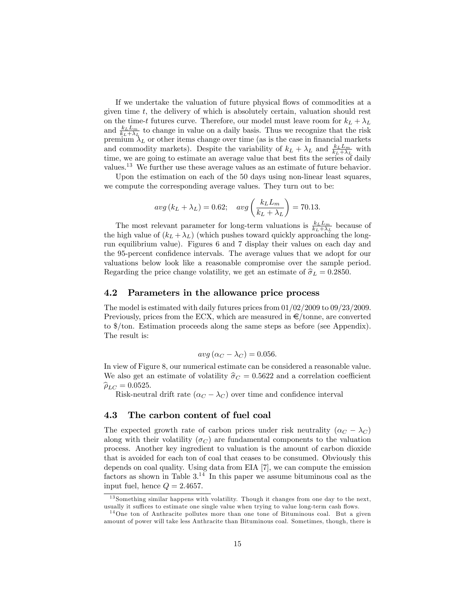If we undertake the valuation of future physical flows of commodities at a given time  $t$ , the delivery of which is absolutely certain, valuation should rest on the time-t futures curve. Therefore, our model must leave room for  $k_L + \lambda_L$ and  $\frac{k_L L_m}{k_L + \lambda_L}$  to change in value on a daily basis. Thus we recognize that the risk premium  $\lambda_L$  or other items change over time (as is the case in financial markets and commodity markets). Despite the variability of  $k_L + \lambda_L$  and  $\frac{k_L L_m}{k_L + \lambda_L}$  with time, we are going to estimate an average value that best fits the series of daily values.<sup>13</sup> We further use these average values as an estimate of future behavior.

Upon the estimation on each of the 50 days using non-linear least squares, we compute the corresponding average values. They turn out to be:

$$
avg(k_L + \lambda_L) = 0.62; \quad avg\left(\frac{k_L L_m}{k_L + \lambda_L}\right) = 70.13.
$$

The most relevant parameter for long-term valuations is  $\frac{k_L L_m}{k_L + \lambda_L}$  because of the high value of  $(k_L + \lambda_L)$  (which pushes toward quickly approaching the longrun equilibrium value). Figures 6 and 7 display their values on each day and the 95-percent confidence intervals. The average values that we adopt for our valuations below look like a reasonable compromise over the sample period. Regarding the price change volatility, we get an estimate of  $\hat{\sigma}_L = 0.2850$ .

### 4.2 Parameters in the allowance price process

The model is estimated with daily futures prices from 01/02/2009 to 09/23/2009. Previously, prices from the ECX, which are measured in  $\epsilon$ /tonne, are converted to \$/ton. Estimation proceeds along the same steps as before (see Appendix). The result is:

$$
avg\left(\alpha_C - \lambda_C\right) = 0.056.
$$

In view of Figure 8, our numerical estimate can be considered a reasonable value. We also get an estimate of volatility  $\hat{\sigma}_C = 0.5622$  and a correlation coefficient  $\widehat{\rho}_{LC} = 0.0525.$ 

Risk-neutral drift rate  $(\alpha_C - \lambda_C)$  over time and confidence interval

### 4.3 The carbon content of fuel coal

The expected growth rate of carbon prices under risk neutrality  $(\alpha_C - \lambda_C)$ along with their volatility  $(\sigma_C)$  are fundamental components to the valuation process. Another key ingredient to valuation is the amount of carbon dioxide that is avoided for each ton of coal that ceases to be consumed. Obviously this depends on coal quality. Using data from EIA [7], we can compute the emission factors as shown in Table  $3^{14}$ . In this paper we assume bituminous coal as the input fuel, hence  $Q = 2.4657$ .

<sup>&</sup>lt;sup>13</sup> Something similar happens with volatility. Though it changes from one day to the next, usually it suffices to estimate one single value when trying to value long-term cash flows.

 $14$ One ton of Anthracite pollutes more than one tone of Bituminous coal. But a given amount of power will take less Anthracite than Bituminous coal. Sometimes, though, there is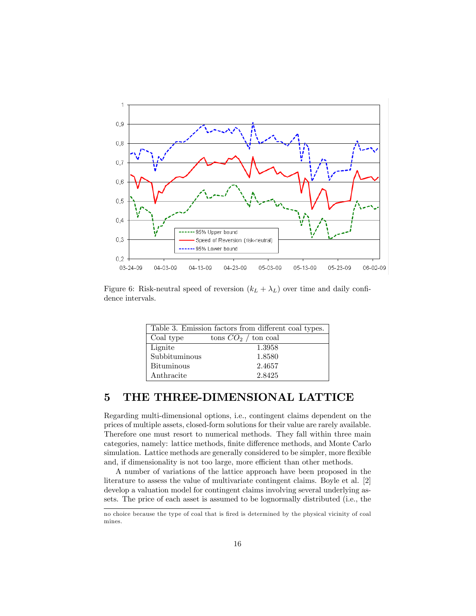

Figure 6: Risk-neutral speed of reversion  $(k_L + \lambda_L)$  over time and daily confidence intervals.

| Table 3. Emission factors from different coal types. |                           |  |  |  |
|------------------------------------------------------|---------------------------|--|--|--|
| Coal type                                            | $\cos CO_2$ / $\tan$ coal |  |  |  |
| Lignite                                              | 1.3958                    |  |  |  |
| Subbituminous                                        | 1.8580                    |  |  |  |
| Bituminous                                           | 2.4657                    |  |  |  |
| Anthracite                                           | 2.8425                    |  |  |  |

## 5 THE THREE-DIMENSIONAL LATTICE

Regarding multi-dimensional options, i.e., contingent claims dependent on the prices of multiple assets, closed-form solutions for their value are rarely available. Therefore one must resort to numerical methods. They fall within three main categories, namely: lattice methods, finite difference methods, and Monte Carlo simulation. Lattice methods are generally considered to be simpler, more flexible and, if dimensionality is not too large, more efficient than other methods.

A number of variations of the lattice approach have been proposed in the literature to assess the value of multivariate contingent claims. Boyle et al. [2] develop a valuation model for contingent claims involving several underlying assets. The price of each asset is assumed to be lognormally distributed (i.e., the

no choice because the type of coal that is Öred is determined by the physical vicinity of coal mines.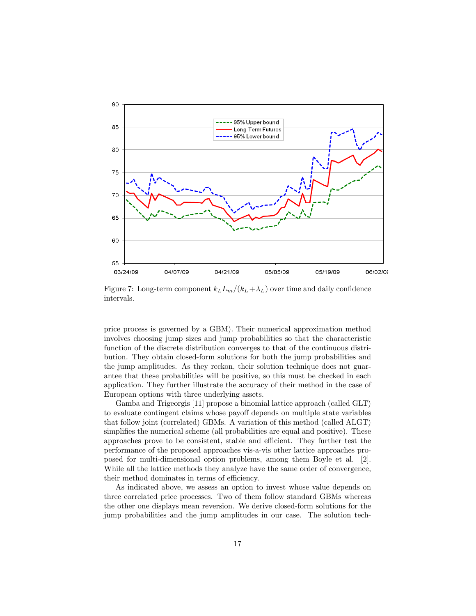

Figure 7: Long-term component  $k_L L_m/(k_L + \lambda_L)$  over time and daily confidence intervals.

price process is governed by a GBM). Their numerical approximation method involves choosing jump sizes and jump probabilities so that the characteristic function of the discrete distribution converges to that of the continuous distribution. They obtain closed-form solutions for both the jump probabilities and the jump amplitudes. As they reckon, their solution technique does not guarantee that these probabilities will be positive, so this must be checked in each application. They further illustrate the accuracy of their method in the case of European options with three underlying assets.

Gamba and Trigeorgis [11] propose a binomial lattice approach (called GLT) to evaluate contingent claims whose payoff depends on multiple state variables that follow joint (correlated) GBMs. A variation of this method (called ALGT) simplifies the numerical scheme (all probabilities are equal and positive). These approaches prove to be consistent, stable and efficient. They further test the performance of the proposed approaches vis-a-vis other lattice approaches proposed for multi-dimensional option problems, among them Boyle et al. [2]. While all the lattice methods they analyze have the same order of convergence, their method dominates in terms of efficiency.

As indicated above, we assess an option to invest whose value depends on three correlated price processes. Two of them follow standard GBMs whereas the other one displays mean reversion. We derive closed-form solutions for the jump probabilities and the jump amplitudes in our case. The solution tech-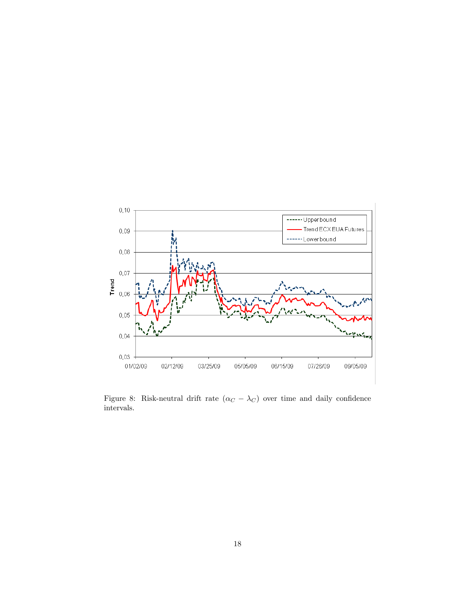

Figure 8: Risk-neutral drift rate  $(\alpha_C - \lambda_C)$  over time and daily confidence intervals.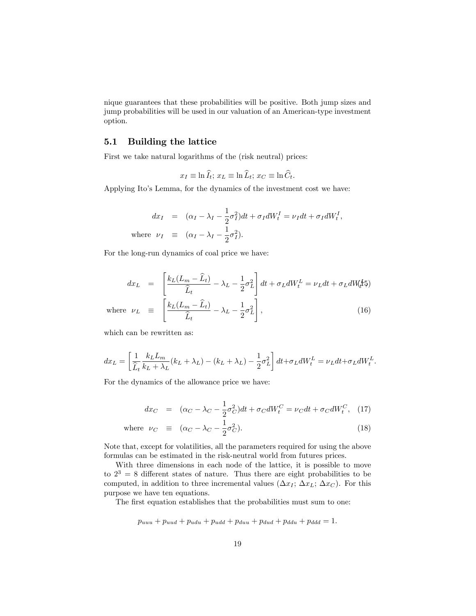nique guarantees that these probabilities will be positive. Both jump sizes and jump probabilities will be used in our valuation of an American-type investment option.

### 5.1 Building the lattice

First we take natural logarithms of the (risk neutral) prices:

$$
x_I \equiv \ln \widehat{I}_t; \, x_L \equiv \ln \widehat{L}_t; \, x_C \equiv \ln \widehat{C}_t.
$$

Applying Ito's Lemma, for the dynamics of the investment cost we have:

$$
dx_I = (\alpha_I - \lambda_I - \frac{1}{2}\sigma_I^2)dt + \sigma_I dW_t^I = \nu_I dt + \sigma_I dW_t^I,
$$
  
where  $\nu_I \equiv (\alpha_I - \lambda_I - \frac{1}{2}\sigma_I^2).$ 

For the long-run dynamics of coal price we have:

$$
dx_L = \left[\frac{k_L(L_m - \hat{L}_t)}{\hat{L}_t} - \lambda_L - \frac{1}{2}\sigma_L^2\right]dt + \sigma_L dW_t^L = \nu_L dt + \sigma_L dW_t^L\mathfrak{h}
$$
  
where  $\nu_L \equiv \left[\frac{k_L(L_m - \hat{L}_t)}{\hat{L}_t} - \lambda_L - \frac{1}{2}\sigma_L^2\right],$  (16)

which can be rewritten as:

$$
dx_L = \left[\frac{1}{\hat{L}_t} \frac{k_L L_m}{k_L + \lambda_L} (k_L + \lambda_L) - (k_L + \lambda_L) - \frac{1}{2} \sigma_L^2\right] dt + \sigma_L dW_t^L = \nu_L dt + \sigma_L dW_t^L.
$$

For the dynamics of the allowance price we have:

$$
dx_C = (\alpha_C - \lambda_C - \frac{1}{2}\sigma_C^2)dt + \sigma_C dW_t^C = \nu_C dt + \sigma_C dW_t^C, \quad (17)
$$

where 
$$
\nu_C \equiv (\alpha_C - \lambda_C - \frac{1}{2}\sigma_C^2).
$$
 (18)

Note that, except for volatilities, all the parameters required for using the above formulas can be estimated in the risk-neutral world from futures prices.

With three dimensions in each node of the lattice, it is possible to move to  $2^3 = 8$  different states of nature. Thus there are eight probabilities to be computed, in addition to three incremental values  $(\Delta x_I; \Delta x_L; \Delta x_C)$ . For this purpose we have ten equations.

The first equation establishes that the probabilities must sum to one:

$$
p_{uuu} + p_{uud} + p_{udu} + p_{udd} + p_{duu} + p_{dud} + p_{ddu} + p_{ddd} = 1.
$$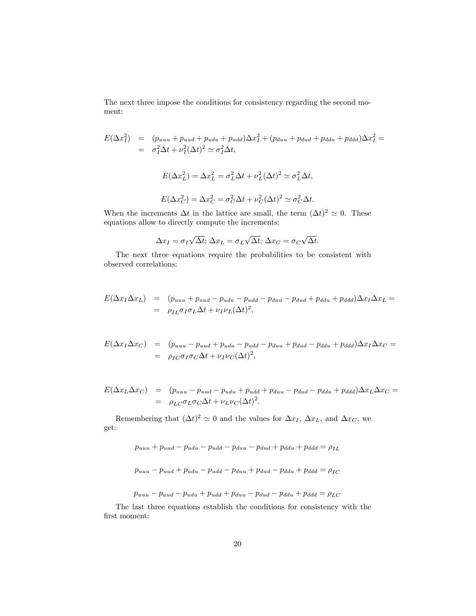The next three impose the conditions for consistency regarding the second moment:

$$
E(\Delta x_I^2) = (p_{uuu} + p_{uud} + p_{udu} + p_{udd})\Delta x_I^2 + (p_{duu} + p_{dud} + p_{ddu} + p_{ddd})\Delta x_I^2 =
$$
  
\n
$$
= \sigma_I^2 \Delta t + \nu_I^2 (\Delta t)^2 \simeq \sigma_I^2 \Delta t,
$$
  
\n
$$
E(\Delta x_L^2) = \Delta x_L^2 = \sigma_L^2 \Delta t + \nu_L^2 (\Delta t)^2 \simeq \sigma_L^2 \Delta t,
$$
  
\n
$$
E(\Delta x_C^2) = \Delta x_C^2 = \sigma_C^2 \Delta t + \nu_C^2 (\Delta t)^2 \simeq \sigma_C^2 \Delta t.
$$

When the increments  $\Delta t$  in the lattice are small, the term  $(\Delta t)^2 \simeq 0$ . These equations allow to directly compute the increments:

$$
\Delta x_I = \sigma_I \sqrt{\Delta t}; \, \Delta x_L = \sigma_L \sqrt{\Delta t}; \, \Delta x_C = \sigma_C \sqrt{\Delta t}.
$$

The next three equations require the probabilities to be consistent with observed correlations:

$$
E(\Delta x_I \Delta x_L) = (p_{uuu} + p_{uud} - p_{udu} - p_{dud} - p_{duu} - p_{dud} + p_{ddu} + p_{ddd}) \Delta x_I \Delta x_L =
$$
  
=  $\rho_{IL} \sigma_I \sigma_L \Delta t + \nu_I \nu_L (\Delta t)^2$ ,

$$
E(\Delta x_I \Delta x_C) = (p_{uuu} - p_{uud} + p_{udu} - p_{udu} + p_{dud} - p_{ddu} + p_{ddd}) \Delta x_I \Delta x_C =
$$
  
=  $\rho_{IC} \sigma_I \sigma_C \Delta t + \nu_I \nu_C (\Delta t)^2$ ,

$$
E(\Delta x_L \Delta x_C) = (p_{uuu} - p_{uud} - p_{udu} + p_{udu} + p_{duu} - p_{dud} - p_{ddu} + p_{ddd}) \Delta x_L \Delta x_C =
$$
  
= 
$$
\rho_{LC} \sigma_L \sigma_C \Delta t + \nu_L \nu_C (\Delta t)^2.
$$

Remembering that  $(\Delta t)^2 \simeq 0$  and the values for  $\Delta x_I$ ,  $\Delta x_L$ , and  $\Delta x_C$ , we get:

$$
p_{uuu} + p_{uud} - p_{udu} - p_{udu} - p_{duu} - p_{dud} + p_{ddu} + p_{ddd} = \rho_{IL}
$$

$$
p_{uuu} - p_{uud} + p_{udu} - p_{udd} - p_{duu} + p_{dud} - p_{ddu} + p_{ddd} = \rho_{IC}
$$

 $p_{uuu} - p_{uud} - p_{udu} + p_{udd} + p_{duu} - p_{dud} - p_{ddu} + p_{ddd} = \rho_{LC}$ 

The last three equations establish the conditions for consistency with the  $\operatorname{first}$  moment: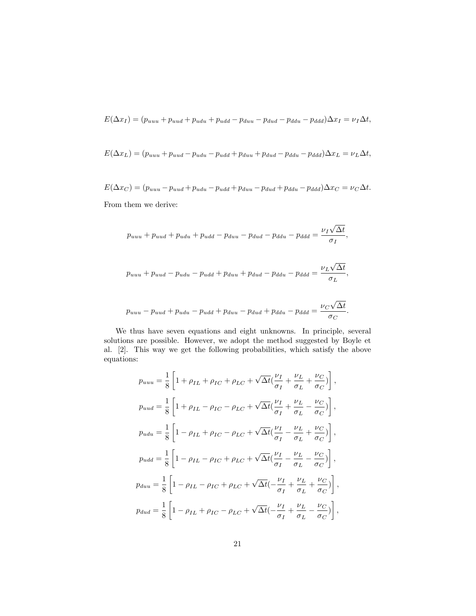$$
E(\Delta x_I) = (p_{uuu} + p_{uud} + p_{udu} + p_{udd} - p_{duu} - p_{dud} - p_{ddu} - p_{ddd})\Delta x_I = \nu_I \Delta t,
$$

$$
E(\Delta x_L) = (p_{uuu} + p_{uud} - p_{udu} - p_{udd} + p_{duu} + p_{dud} - p_{ddu} - p_{ddd})\Delta x_L = \nu_L \Delta t,
$$

 $E(\Delta x_C) = (p_{uuu} - p_{uud} + p_{udu} - p_{udu} + p_{dud} + p_{ddu} - p_{ddd})\Delta x_C = \nu_C \Delta t.$ From them we derive:

$$
p_{uuu} + p_{uud} + p_{udu} + p_{udd} - p_{duu} - p_{dud} - p_{ddu} - p_{ddd} = \frac{\nu_I \sqrt{\Delta t}}{\sigma_I},
$$

$$
p_{uuu} + p_{uud} - p_{udu} - p_{udd} + p_{duu} + p_{dud} - p_{ddu} - p_{ddd} = \frac{\nu_L \sqrt{\Delta t}}{\sigma_L},
$$

$$
p_{uuu} - p_{uud} + p_{udu} - p_{udd} + p_{duu} - p_{dud} + p_{ddu} - p_{ddd} = \frac{\nu_C \sqrt{\Delta t}}{\sigma_C}.
$$

We thus have seven equations and eight unknowns. In principle, several solutions are possible. However, we adopt the method suggested by Boyle et al. [2]. This way we get the following probabilities, which satisfy the above equations:

$$
p_{uuu} = \frac{1}{8} \left[ 1 + \rho_{IL} + \rho_{IC} + \rho_{LC} + \sqrt{\Delta t} \left( \frac{\nu_I}{\sigma_I} + \frac{\nu_L}{\sigma_L} + \frac{\nu_C}{\sigma_C} \right) \right],
$$
  
\n
$$
p_{uud} = \frac{1}{8} \left[ 1 + \rho_{IL} - \rho_{IC} - \rho_{LC} + \sqrt{\Delta t} \left( \frac{\nu_I}{\sigma_I} + \frac{\nu_L}{\sigma_L} - \frac{\nu_C}{\sigma_C} \right) \right],
$$
  
\n
$$
p_{udu} = \frac{1}{8} \left[ 1 - \rho_{IL} + \rho_{IC} - \rho_{LC} + \sqrt{\Delta t} \left( \frac{\nu_I}{\sigma_I} - \frac{\nu_L}{\sigma_L} + \frac{\nu_C}{\sigma_C} \right) \right],
$$
  
\n
$$
p_{udd} = \frac{1}{8} \left[ 1 - \rho_{IL} - \rho_{IC} + \rho_{LC} + \sqrt{\Delta t} \left( \frac{\nu_I}{\sigma_I} - \frac{\nu_L}{\sigma_L} - \frac{\nu_C}{\sigma_C} \right) \right],
$$
  
\n
$$
p_{duu} = \frac{1}{8} \left[ 1 - \rho_{IL} - \rho_{IC} + \rho_{LC} + \sqrt{\Delta t} \left( -\frac{\nu_I}{\sigma_I} + \frac{\nu_L}{\sigma_L} + \frac{\nu_C}{\sigma_C} \right) \right],
$$
  
\n
$$
p_{dud} = \frac{1}{8} \left[ 1 - \rho_{IL} + \rho_{IC} - \rho_{LC} + \sqrt{\Delta t} \left( -\frac{\nu_I}{\sigma_I} + \frac{\nu_L}{\sigma_L} - \frac{\nu_C}{\sigma_C} \right) \right],
$$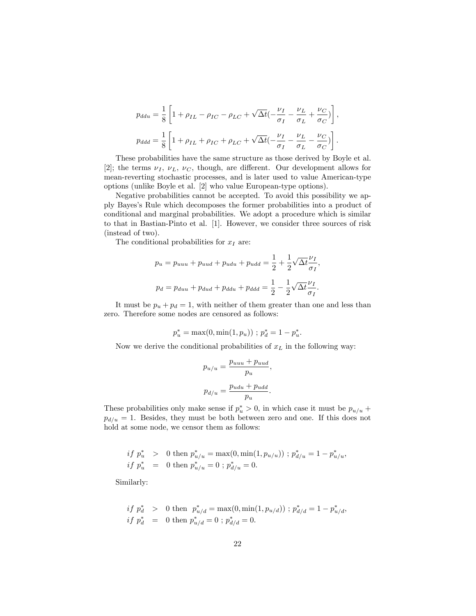$$
p_{ddu} = \frac{1}{8} \left[ 1 + \rho_{IL} - \rho_{IC} - \rho_{LC} + \sqrt{\Delta t} \left( -\frac{\nu_I}{\sigma_I} - \frac{\nu_L}{\sigma_L} + \frac{\nu_C}{\sigma_C} \right) \right],
$$
  

$$
p_{ddd} = \frac{1}{8} \left[ 1 + \rho_{IL} + \rho_{IC} + \rho_{LC} + \sqrt{\Delta t} \left( -\frac{\nu_I}{\sigma_I} - \frac{\nu_L}{\sigma_L} - \frac{\nu_C}{\sigma_C} \right) \right].
$$

These probabilities have the same structure as those derived by Boyle et al. [2]; the terms  $\nu_I$ ,  $\nu_L$ ,  $\nu_C$ , though, are different. Our development allows for mean-reverting stochastic processes, and is later used to value American-type options (unlike Boyle et al. [2] who value European-type options).

Negative probabilities cannot be accepted. To avoid this possibility we apply Bayesís Rule which decomposes the former probabilities into a product of conditional and marginal probabilities. We adopt a procedure which is similar to that in Bastian-Pinto et al. [1]. However, we consider three sources of risk (instead of two).

The conditional probabilities for  $x_I$  are:

$$
p_u = p_{uuu} + p_{uud} + p_{udu} + p_{udd} = \frac{1}{2} + \frac{1}{2}\sqrt{\Delta t} \frac{\nu_I}{\sigma_I},
$$
  

$$
p_d = p_{duu} + p_{dud} + p_{ddu} + p_{ddd} = \frac{1}{2} - \frac{1}{2}\sqrt{\Delta t} \frac{\nu_I}{\sigma_I}.
$$

It must be  $p_u + p_d = 1$ , with neither of them greater than one and less than zero. Therefore some nodes are censored as follows:

$$
p_u^* = \max(0, \min(1, p_u)) \; ; \; p_d^* = 1 - p_u^*.
$$

Now we derive the conditional probabilities of  $x<sub>L</sub>$  in the following way:

$$
p_{u/u} = \frac{p_{uuu} + p_{uud}}{p_u},
$$
  

$$
p_{d/u} = \frac{p_{udu} + p_{udd}}{p_u}.
$$

These probabilities only make sense if  $p_u^* > 0$ , in which case it must be  $p_{u/u}$  +  $p_{d/u} = 1$ . Besides, they must be both between zero and one. If this does not hold at some node, we censor them as follows:

$$
\begin{array}{lcl} if\ p_u^* > & 0 \text{ then } p_{u/u}^* = \max(0, \min(1, p_{u/u})) \text{ ; } p_{d/u}^* = 1 - p_{u/u}^*,\\ \text{if } p_u^* & = & 0 \text{ then } p_{u/u}^* = 0 \text{ ; } p_{d/u}^* = 0. \end{array}
$$

Similarly:

$$
\begin{aligned}\n\text{if } p_d^* & > 0 \text{ then } p_{u/d}^* = \max(0, \min(1, p_{u/d})) \text{ ; } p_{d/d}^* = 1 - p_{u/d}^*, \\
\text{if } p_d^* & = 0 \text{ then } p_{u/d}^* = 0 \text{ ; } p_{d/d}^* = 0.\n\end{aligned}
$$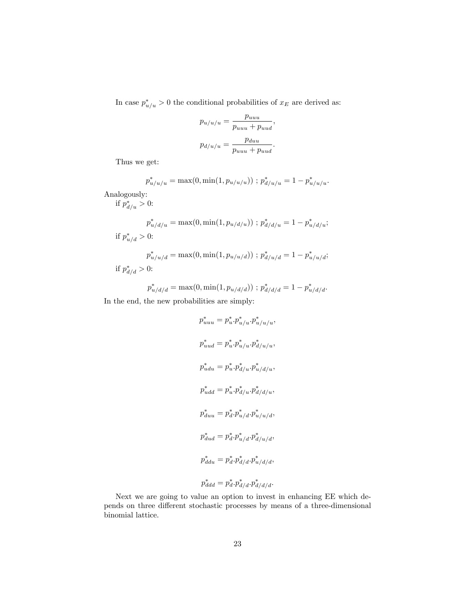In case  $p_{u/u}^* > 0$  the conditional probabilities of  $x_E$  are derived as:

$$
p_{u/u/u} = \frac{p_{uuu}}{p_{uuu} + p_{uud}},
$$

$$
p_{d/u/u} = \frac{p_{duu}}{p_{uuu} + p_{uud}}.
$$

Thus we get:

$$
p_{u/u/u}^{*} = \max(0, \min(1, p_{u/u/u})) \; ; \; p_{d/u/u}^{*} = 1 - p_{u/u/u}^{*}.
$$

Analogously:

if  $p_{d/u}^* > 0$ :

$$
p_{u/d/u}^* = \max(0, \min(1, p_{u/d/u})) \; ; \; p_{d/d/u}^* = 1 - p_{u/d/u}^*;
$$
 if  $p_{u/d}^* > 0$ :  

$$
p_{u/u/d}^* = \max(0, \min(1, p_{u/u/d})) \; ; \; p_{d/u/d}^* = 1 - p_{u/u/d}^*;
$$

if 
$$
p_{d/d}^* > 0
$$
:

$$
p_{u/d/d}^* = \max(0, \min(1, p_{u/d/d})) \; ; \; p_{d/d/d}^* = 1 - p_{u/d/d}^*.
$$

In the end, the new probabilities are simply:

$$
p_{uuu}^{*} = p_{u}^{*} \cdot p_{u/u}^{*} \cdot p_{u/u}^{*} / u/u,
$$
  
\n
$$
p_{uud}^{*} = p_{u}^{*} \cdot p_{u/u}^{*} \cdot p_{d/u}^{*} / u/u,
$$
  
\n
$$
p_{udu}^{*} = p_{u}^{*} \cdot p_{d/u}^{*} \cdot p_{u/d/u}^{*},
$$
  
\n
$$
p_{udd}^{*} = p_{u}^{*} \cdot p_{d/u}^{*} \cdot p_{d/d/u}^{*},
$$
  
\n
$$
p_{duu}^{*} = p_{d}^{*} \cdot p_{u/d}^{*} \cdot p_{u/d}^{*},
$$
  
\n
$$
p_{dud}^{*} = p_{d}^{*} \cdot p_{u/d}^{*} \cdot p_{d/u/d}^{*},
$$
  
\n
$$
p_{ddu}^{*} = p_{d}^{*} \cdot p_{d/d}^{*} \cdot p_{u/d/d}^{*},
$$
  
\n
$$
p_{ddd}^{*} = p_{d}^{*} \cdot p_{d/d}^{*} \cdot p_{d/d/d}^{*}.
$$

Next we are going to value an option to invest in enhancing EE which depends on three different stochastic processes by means of a three-dimensional binomial lattice.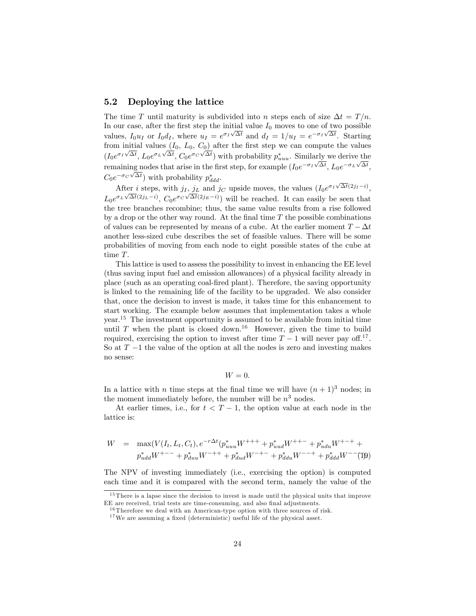### 5.2 Deploying the lattice

The time T until maturity is subdivided into n steps each of size  $\Delta t = T/n$ . In our case, after the first step the initial value  $I_0$  moves to one of two possible values,  $I_0 u_I$  or  $I_0 d_I$ , where  $u_I = e^{\sigma_I \sqrt{\Delta t}}$  and  $d_I = 1/u_I = e^{-\sigma_I \sqrt{\Delta t}}$ . Starting from initial values  $(I_0, L_0, C_0)$  after the first step we can compute the values  $(I_0e^{\sigma_I\sqrt{\Delta t}}, L_0e^{\sigma_L\sqrt{\Delta t}}, C_0e^{\sigma_C\sqrt{\Delta t}})$  with probability  $p_{uuu}^*$ . Similarly we derive the remaining nodes that arise in the first step, for example  $(I_0e^{-\sigma_I\sqrt{\Delta t}}, L_0e^{-\sigma_L\sqrt{\Delta t}},$  $C_0 e^{-\sigma_C \sqrt{\Delta t}}$  with probability  $p_{ddd}^*$ .

After *i* steps, with  $j_I$ ,  $j_L$  and  $j_C$  upside moves, the values  $(I_0e^{\sigma_I\sqrt{\Delta t}}(2j_I-i))$ ,  $L_0e^{\sigma_L\sqrt{\Delta t}(2j_L-i)}$ ,  $C_0e^{\sigma_C\sqrt{\Delta t}(2j_E-i)}$  will be reached. It can easily be seen that the tree branches recombine; thus, the same value results from a rise followed by a drop or the other way round. At the final time  $T$  the possible combinations of values can be represented by means of a cube. At the earlier moment  $T - \Delta t$ another less-sized cube describes the set of feasible values. There will be some probabilities of moving from each node to eight possible states of the cube at time T.

This lattice is used to assess the possibility to invest in enhancing the EE level (thus saving input fuel and emission allowances) of a physical facility already in place (such as an operating coal-Öred plant). Therefore, the saving opportunity is linked to the remaining life of the facility to be upgraded. We also consider that, once the decision to invest is made, it takes time for this enhancement to start working. The example below assumes that implementation takes a whole year.<sup>15</sup> The investment opportunity is assumed to be available from initial time until T when the plant is closed down.<sup>16</sup> However, given the time to build required, exercising the option to invest after time  $T - 1$  will never pay off.<sup>17</sup>. So at  $T-1$  the value of the option at all the nodes is zero and investing makes no sense:

$$
W=0.
$$

In a lattice with *n* time steps at the final time we will have  $(n + 1)^3$  nodes; in the moment immediately before, the number will be  $n^3$  nodes.

At earlier times, i.e., for  $t < T - 1$ , the option value at each node in the lattice is:

$$
W = \max(V(I_t, L_t, C_t), e^{-r\Delta t} (p_{uuu}^* W^{+++} + p_{uud}^* W^{++-} + p_{udu}^* W^{+-+} +
$$
  

$$
p_{udd}^* W^{+--} + p_{duu}^* W^{-++} + p_{dud}^* W^{-+-} + p_{ddu}^* W^{--+} + p_{ddd}^* W^{--} (1)9)
$$

The NPV of investing immediately (i.e., exercising the option) is computed each time and it is compared with the second term, namely the value of the

 $15$  There is a lapse since the decision to invest is made until the physical units that improve EE are received, trial tests are time-consuming, and also final adjustments.

 $16$  Therefore we deal with an American-type option with three sources of risk.

 $17$  We are assuming a fixed (deterministic) useful life of the physical asset.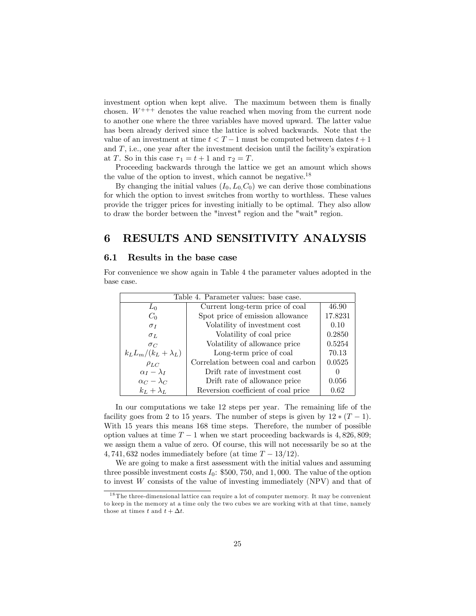investment option when kept alive. The maximum between them is finally chosen.  $W^{+++}$  denotes the value reached when moving from the current node to another one where the three variables have moved upward. The latter value has been already derived since the lattice is solved backwards. Note that the value of an investment at time  $t < T - 1$  must be computed between dates  $t + 1$ and  $T$ , i.e., one year after the investment decision until the facility's expiration at T. So in this case  $\tau_1 = t + 1$  and  $\tau_2 = T$ .

Proceeding backwards through the lattice we get an amount which shows the value of the option to invest, which cannot be negative.<sup>18</sup>

By changing the initial values  $(I_0, L_0, C_0)$  we can derive those combinations for which the option to invest switches from worthy to worthless. These values provide the trigger prices for investing initially to be optimal. They also allow to draw the border between the "invest" region and the "wait" region.

## 6 RESULTS AND SENSITIVITY ANALYSIS

#### 6.1 Results in the base case

For convenience we show again in Table 4 the parameter values adopted in the base case.

| Table 4. Parameter values: base case.                   |                                     |         |  |
|---------------------------------------------------------|-------------------------------------|---------|--|
| $L_0$                                                   | Current long-term price of coal     |         |  |
| $C_0$                                                   | Spot price of emission allowance    | 17.8231 |  |
| $\sigma_I$                                              | Volatility of investment cost       | 0.10    |  |
| $\sigma_L$                                              | Volatility of coal price            |         |  |
| Volatility of allowance price<br>$\sigma_C$             |                                     | 0.5254  |  |
| $k_L L_m/(k_L + \lambda_L)$                             | Long-term price of coal             | 70.13   |  |
| $\rho_{LC}$                                             | Correlation between coal and carbon | 0.0525  |  |
| $\alpha_I - \lambda_I$<br>Drift rate of investment cost |                                     |         |  |
| $\alpha_C - \lambda_C$<br>Drift rate of allowance price |                                     | 0.056   |  |
| $k_L + \lambda_L$                                       | Reversion coefficient of coal price | 0.62    |  |

In our computations we take 12 steps per year. The remaining life of the facility goes from 2 to 15 years. The number of steps is given by  $12 * (T - 1)$ . With 15 years this means 168 time steps. Therefore, the number of possible option values at time  $T-1$  when we start proceeding backwards is 4, 826, 809; we assign them a value of zero. Of course, this will not necessarily be so at the 4, 741, 632 nodes immediately before (at time  $T - 13/12$ ).

We are going to make a first assessment with the initial values and assuming three possible investment costs  $I_0$ : \$500, 750, and 1,000. The value of the option to invest W consists of the value of investing immediately (NPV) and that of

<sup>1 8</sup> The three-dimensional lattice can require a lot of computer memory. It may be convenient to keep in the memory at a time only the two cubes we are working with at that time, namely those at times t and  $t + \Delta t$ .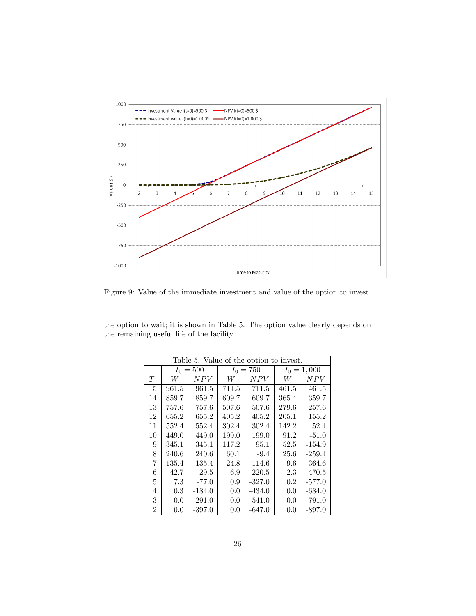

Figure 9: Value of the immediate investment and value of the option to invest.

| the option to wait; it is shown in Table 5. The option value clearly depends on |  |  |
|---------------------------------------------------------------------------------|--|--|
| the remaining useful life of the facility.                                      |  |  |

| Table 5. Value of the option to invest. |       |             |       |             |               |          |
|-----------------------------------------|-------|-------------|-------|-------------|---------------|----------|
|                                         |       | $I_0 = 500$ |       | $I_0 = 750$ | $I_0 = 1,000$ |          |
| T                                       | W     | N PV        | W     | N PV        | W             | N PV     |
| 15                                      | 961.5 | 961.5       | 711.5 | 711.5       | 461.5         | 461.5    |
| 14                                      | 859.7 | 859.7       | 609.7 | 609.7       | 365.4         | 359.7    |
| 13                                      | 757.6 | 757.6       | 507.6 | 507.6       | 279.6         | 257.6    |
| 12                                      | 655.2 | 655.2       | 405.2 | 405.2       | 205.1         | 155.2    |
| 11                                      | 552.4 | 552.4       | 302.4 | 302.4       | 142.2         | 52.4     |
| 10                                      | 449.0 | 449.0       | 199.0 | 199.0       | 91.2          | $-51.0$  |
| 9                                       | 345.1 | 345.1       | 117.2 | 95.1        | 52.5          | $-154.9$ |
| 8                                       | 240.6 | 240.6       | 60.1  | $-9.4$      | 25.6          | $-259.4$ |
| 7                                       | 135.4 | 135.4       | 24.8  | $-114.6$    | 9.6           | $-364.6$ |
| 6                                       | 42.7  | 29.5        | 6.9   | $-220.5$    | 2.3           | $-470.5$ |
| 5                                       | 7.3   | $-77.0$     | 0.9   | $-327.0$    | $0.2\,$       | $-577.0$ |
| 4                                       | 0.3   | $-184.0$    | 0.0   | $-434.0$    | 0.0           | $-684.0$ |
| 3                                       | 0.0   | $-291.0$    | 0.0   | $-541.0$    | 0.0           | $-791.0$ |
| $\overline{2}$                          | 0.0   | $-397.0$    | 0.0   | $-647.0$    | 0.0           | $-897.0$ |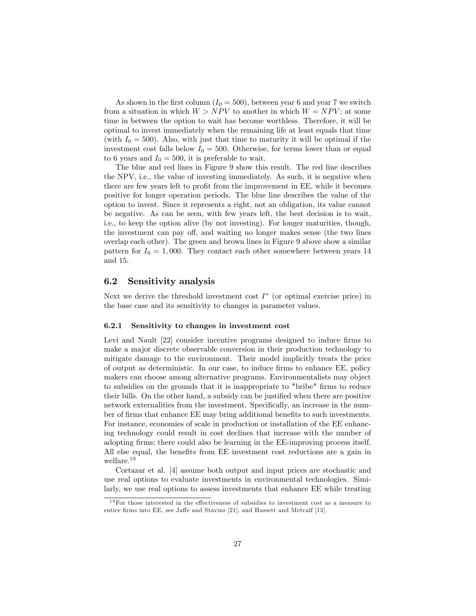As shown in the first column  $(I_0 = 500)$ , between year 6 and year 7 we switch from a situation in which  $W > NPV$  to another in which  $W = NPV$ ; at some time in between the option to wait has become worthless. Therefore, it will be optimal to invest immediately when the remaining life at least equals that time (with  $I_0 = 500$ ). Also, with just that time to maturity it will be optimal if the investment cost falls below  $I_0 = 500$ . Otherwise, for terms lower than or equal to 6 years and  $I_0 = 500$ , it is preferable to wait.

The blue and red lines in Figure 9 show this result. The red line describes the NPV, i.e., the value of investing immediately. As such, it is negative when there are few years left to profit from the improvement in EE, while it becomes positive for longer operation periods. The blue line describes the value of the option to invest. Since it represents a right, not an obligation, its value cannot be negative. As can be seen, with few years left, the best decision is to wait, i.e., to keep the option alive (by not investing). For longer maturities, though, the investment can pay off, and waiting no longer makes sense (the two lines overlap each other). The green and brown lines in Figure 9 above show a similar pattern for  $I_0 = 1,000$ . They contact each other somewhere between years 14 and 15.

### 6.2 Sensitivity analysis

Next we derive the threshold investment cost  $I^*$  (or optimal exercise price) in the base case and its sensitivity to changes in parameter values.

#### 6.2.1 Sensitivity to changes in investment cost

Levi and Nault [22] consider incentive programs designed to induce firms to make a major discrete observable conversion in their production technology to mitigate damage to the environment. Their model implicitly treats the price of output as deterministic. In our case, to induce Örms to enhance EE, policy makers can choose among alternative programs. Environmentalists may object to subsidies on the grounds that it is inappropriate to "bribe" firms to reduce their bills. On the other hand, a subsidy can be justified when there are positive network externalities from the investment. Specifically, an increase in the number of firms that enhance EE may bring additional benefits to such investments. For instance, economies of scale in production or installation of the EE enhancing technology could result in cost declines that increase with the number of adopting Örms; there could also be learning in the EE-improving process itself. All else equal, the benefits from EE investment cost reductions are a gain in welfare.<sup>19</sup>

Cortazar et al. [4] assume both output and input prices are stochastic and use real options to evaluate investments in environmental technologies. Similarly, we use real options to assess investments that enhance EE while treating

 $19$  For those interested in the effectiveness of subsidies to investment cost as a measure to entice firms into EE, see Jaffe and Stavins [21], and Hassett and Metcalf [13].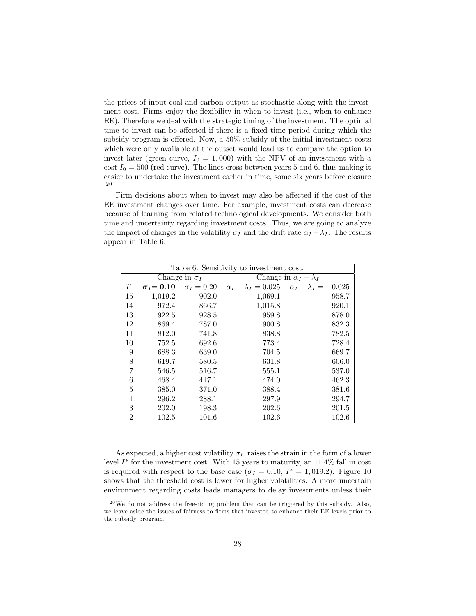the prices of input coal and carbon output as stochastic along with the investment cost. Firms enjoy the flexibility in when to invest (i.e., when to enhance EE). Therefore we deal with the strategic timing of the investment. The optimal time to invest can be affected if there is a fixed time period during which the subsidy program is offered. Now, a  $50\%$  subsidy of the initial investment costs which were only available at the outset would lead us to compare the option to invest later (green curve,  $I_0 = 1,000$ ) with the NPV of an investment with a cost  $I_0 = 500$  (red curve). The lines cross between years 5 and 6, thus making it easier to undertake the investment earlier in time, some six years before closure . 20

Firm decisions about when to invest may also be affected if the cost of the EE investment changes over time. For example, investment costs can decrease because of learning from related technological developments. We consider both time and uncertainty regarding investment costs. Thus, we are going to analyze the impact of changes in the volatility  $\sigma_I$  and the drift rate  $\alpha_I - \lambda_I$ . The results appear in Table 6.

|    | Table 6. Sensitivity to investment cost. |                   |                                  |                                                                |  |
|----|------------------------------------------|-------------------|----------------------------------|----------------------------------------------------------------|--|
|    | Change in $\sigma_I$                     |                   | Change in $\alpha_I - \lambda_I$ |                                                                |  |
| T  | $\sigma_I = 0.10$                        | $\sigma_I = 0.20$ |                                  | $\alpha_I - \lambda_I = 0.025$ $\alpha_I - \lambda_I = -0.025$ |  |
| 15 | 1,019.2                                  | 902.0             | 1,069.1                          | 958.7                                                          |  |
| 14 | 972.4                                    | 866.7             | 1,015.8                          | 920.1                                                          |  |
| 13 | 922.5                                    | 928.5             | 959.8                            | 878.0                                                          |  |
| 12 | 869.4                                    | 787.0             | 900.8                            | 832.3                                                          |  |
| 11 | 812.0                                    | 741.8             | 838.8                            | 782.5                                                          |  |
| 10 | 752.5                                    | 692.6             | 773.4                            | 728.4                                                          |  |
| 9  | 688.3                                    | 639.0             | 704.5                            | 669.7                                                          |  |
| 8  | 619.7                                    | 580.5             | 631.8                            | 606.0                                                          |  |
| 7  | 546.5                                    | 516.7             | 555.1                            | 537.0                                                          |  |
| 6  | 468.4                                    | 447.1             | 474.0                            | 462.3                                                          |  |
| 5  | 385.0                                    | 371.0             | 388.4                            | 381.6                                                          |  |
| 4  | 296.2                                    | 288.1             | 297.9                            | 294.7                                                          |  |
| 3  | 202.0                                    | 198.3             | 202.6                            | 201.5                                                          |  |
| 2  | 102.5                                    | 101.6             | 102.6                            | 102.6                                                          |  |

As expected, a higher cost volatility  $\sigma_I$  raises the strain in the form of a lower level  $I^*$  for the investment cost. With 15 years to maturity, an  $11.4\%$  fall in cost is required with respect to the base case  $(\sigma_I = 0.10, I^* = 1,019.2)$ . Figure 10 shows that the threshold cost is lower for higher volatilities. A more uncertain environment regarding costs leads managers to delay investments unless their

 $^{20}$  We do not address the free-riding problem that can be triggered by this subsidy. Also, we leave aside the issues of fairness to firms that invested to enhance their EE levels prior to the subsidy program.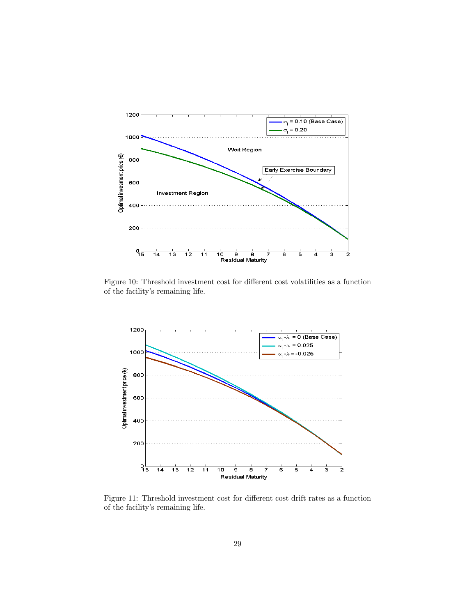

Figure 10: Threshold investment cost for different cost volatilities as a function of the facility's remaining life.



Figure 11: Threshold investment cost for different cost drift rates as a function of the facility's remaining life.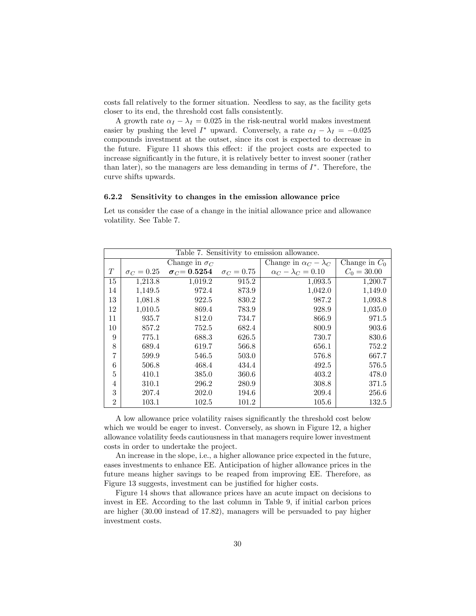costs fall relatively to the former situation. Needless to say, as the facility gets closer to its end, the threshold cost falls consistently.

A growth rate  $\alpha_I - \lambda_I = 0.025$  in the risk-neutral world makes investment easier by pushing the level  $I^*$  upward. Conversely, a rate  $\alpha_I - \lambda_I = -0.025$ compounds investment at the outset, since its cost is expected to decrease in the future. Figure 11 shows this effect: if the project costs are expected to increase significantly in the future, it is relatively better to invest sooner (rather than later), so the managers are less demanding in terms of  $I^*$ . Therefore, the curve shifts upwards.

#### 6.2.2 Sensitivity to changes in the emission allowance price

Let us consider the case of a change in the initial allowance price and allowance volatility. See Table 7.

|                | Table 7. Sensitivity to emission allowance. |                           |                   |                                  |                 |  |
|----------------|---------------------------------------------|---------------------------|-------------------|----------------------------------|-----------------|--|
|                |                                             | Change in $\sigma_C$      |                   | Change in $\alpha_C - \lambda_C$ | Change in $C_0$ |  |
| T              | $\sigma_C = 0.25$                           | $\sigma_C {\,=\,} 0.5254$ | $\sigma_C = 0.75$ | $\alpha_C - \lambda_C = 0.10$    | $C_0 = 30.00$   |  |
| 15             | 1,213.8                                     | 1,019.2                   | 915.2             | 1,093.5                          | 1,200.7         |  |
| 14             | 1,149.5                                     | 972.4                     | 873.9             | 1,042.0                          | 1,149.0         |  |
| 13             | 1,081.8                                     | 922.5                     | 830.2             | 987.2                            | 1,093.8         |  |
| 12             | 1,010.5                                     | 869.4                     | 783.9             | 928.9                            | 1,035.0         |  |
| 11             | 935.7                                       | 812.0                     | 734.7             | 866.9                            | 971.5           |  |
| 10             | 857.2                                       | 752.5                     | 682.4             | 800.9                            | 903.6           |  |
| 9              | 775.1                                       | 688.3                     | 626.5             | 730.7                            | $830.6\,$       |  |
| 8              | 689.4                                       | 619.7                     | 566.8             | 656.1                            | 752.2           |  |
| 7              | 599.9                                       | 546.5                     | 503.0             | 576.8                            | 667.7           |  |
| 6              | 506.8                                       | 468.4                     | 434.4             | 492.5                            | 576.5           |  |
| 5              | 410.1                                       | 385.0                     | 360.6             | 403.2                            | 478.0           |  |
| 4              | 310.1                                       | 296.2                     | 280.9             | 308.8                            | 371.5           |  |
| 3              | 207.4                                       | 202.0                     | 194.6             | 209.4                            | 256.6           |  |
| $\overline{2}$ | 103.1                                       | 102.5                     | 101.2             | 105.6                            | 132.5           |  |

A low allowance price volatility raises significantly the threshold cost below which we would be eager to invest. Conversely, as shown in Figure 12, a higher allowance volatility feeds cautiousness in that managers require lower investment costs in order to undertake the project.

An increase in the slope, i.e., a higher allowance price expected in the future, eases investments to enhance EE. Anticipation of higher allowance prices in the future means higher savings to be reaped from improving EE. Therefore, as Figure 13 suggests, investment can be justified for higher costs.

Figure 14 shows that allowance prices have an acute impact on decisions to invest in EE. According to the last column in Table 9, if initial carbon prices are higher (30.00 instead of 17.82), managers will be persuaded to pay higher investment costs.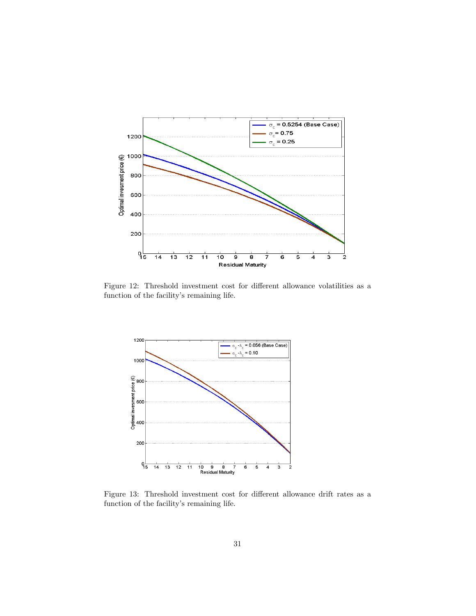

Figure 12: Threshold investment cost for different allowance volatilities as a function of the facility's remaining life.



Figure 13: Threshold investment cost for different allowance drift rates as a function of the facility's remaining life.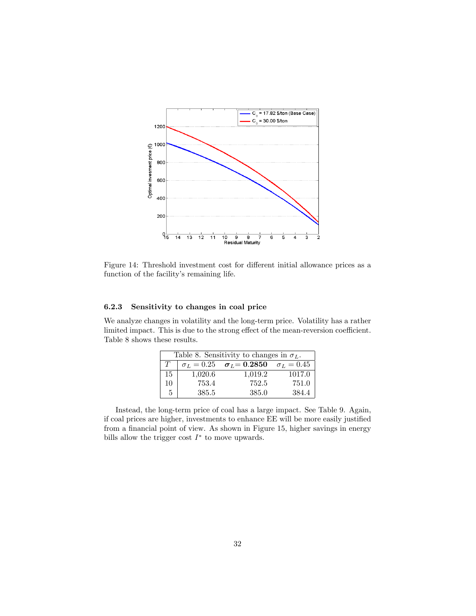

Figure 14: Threshold investment cost for different initial allowance prices as a function of the facility's remaining life.

#### 6.2.3 Sensitivity to changes in coal price

We analyze changes in volatility and the long-term price. Volatility has a rather limited impact. This is due to the strong effect of the mean-reversion coefficient. Table 8 shows these results.

| Table 8. Sensitivity to changes in $\sigma_L$ . |         |                                                         |        |  |
|-------------------------------------------------|---------|---------------------------------------------------------|--------|--|
| $T_{\perp}$                                     |         | $\sigma_L = 0.25$ $\sigma_L = 0.2850$ $\sigma_L = 0.45$ |        |  |
| 15                                              | 1,020.6 | 1,019.2                                                 | 1017.0 |  |
| 10                                              | 753.4   | 752.5                                                   | 751.0  |  |
| $5^{\circ}$                                     | 385.5   | 385.0                                                   | 384.4  |  |

Instead, the long-term price of coal has a large impact. See Table 9. Again, if coal prices are higher, investments to enhance EE will be more easily justified from a financial point of view. As shown in Figure 15, higher savings in energy bills allow the trigger cost  $I^*$  to move upwards.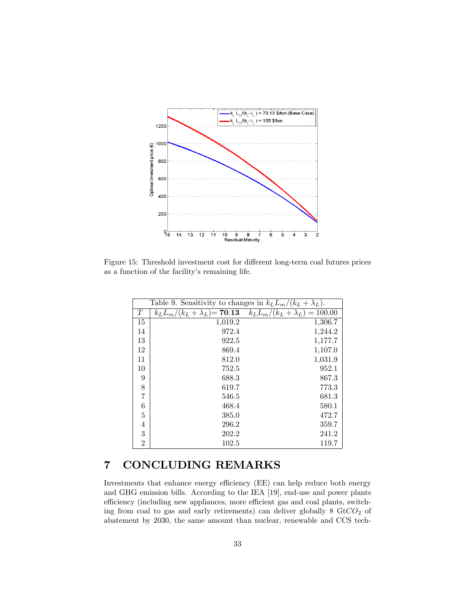

Figure 15: Threshold investment cost for different long-term coal futures prices as a function of the facility's remaining life.

|                  | Table 9. Sensitivity to changes in $k_L L_m/(k_L + \lambda_L)$ . |                                                                          |  |  |  |
|------------------|------------------------------------------------------------------|--------------------------------------------------------------------------|--|--|--|
| T                |                                                                  | $k_L L_m/(k_L + \lambda_L) = 70.13$ $k_L L_m/(k_L + \lambda_L) = 100.00$ |  |  |  |
| 15               | 1,019.2                                                          | 1,306.7                                                                  |  |  |  |
| 14               | 972.4                                                            | 1,244.2                                                                  |  |  |  |
| 13               | 922.5                                                            | 1,177,7                                                                  |  |  |  |
| 12               | 869.4                                                            | 1,107.0                                                                  |  |  |  |
| 11               | 812.0                                                            | 1,031.9                                                                  |  |  |  |
| 10               | 752.5                                                            | 952.1                                                                    |  |  |  |
| $\boldsymbol{9}$ | 688.3                                                            | 867.3                                                                    |  |  |  |
| 8                | 619.7                                                            | 773.3                                                                    |  |  |  |
| $\overline{7}$   | 546.5                                                            | 681.3                                                                    |  |  |  |
| 6                | 468.4                                                            | 580.1                                                                    |  |  |  |
| $\overline{5}$   | 385.0                                                            | 472.7                                                                    |  |  |  |
| $\overline{4}$   | 296.2                                                            | 359.7                                                                    |  |  |  |
| 3                | 202.2                                                            | 241.2                                                                    |  |  |  |
| $\overline{2}$   | 102.5                                                            | 119.7                                                                    |  |  |  |

## 7 CONCLUDING REMARKS

Investments that enhance energy efficiency (EE) can help reduce both energy and GHG emission bills. According to the IEA [19], end-use and power plants efficiency (including new appliances, more efficient gas and coal plants, switching from coal to gas and early retirements) can deliver globally  $8 \text{ Gt}CO_2$  of abatement by 2030, the same amount than nuclear, renewable and CCS tech-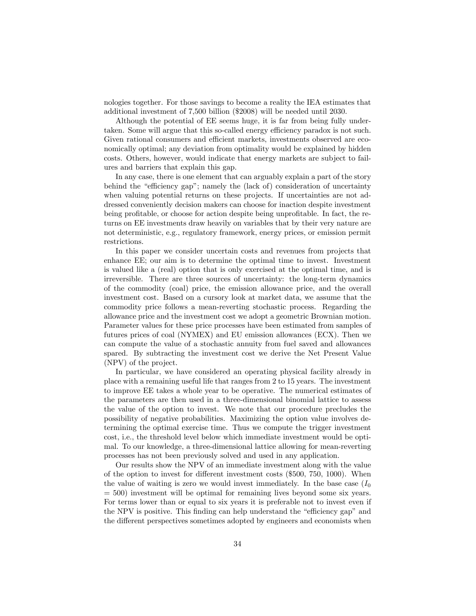nologies together. For those savings to become a reality the IEA estimates that additional investment of 7,500 billion (\$2008) will be needed until 2030.

Although the potential of EE seems huge, it is far from being fully undertaken. Some will argue that this so-called energy efficiency paradox is not such. Given rational consumers and efficient markets, investments observed are eco-nomically optimal; any deviation from optimality would be explained by hidden costs. Others, however, would indicate that energy markets are subject to failures and barriers that explain this gap.

In any case, there is one element that can arguably explain a part of the story behind the "efficiency gap"; namely the (lack of) consideration of uncertainty when valuing potential returns on these projects. If uncertainties are not addressed conveniently decision makers can choose for inaction despite investment being profitable, or choose for action despite being unprofitable. In fact, the returns on EE investments draw heavily on variables that by their very nature are not deterministic, e.g., regulatory framework, energy prices, or emission permit restrictions.

In this paper we consider uncertain costs and revenues from projects that enhance EE; our aim is to determine the optimal time to invest. Investment is valued like a (real) option that is only exercised at the optimal time, and is irreversible. There are three sources of uncertainty: the long-term dynamics of the commodity (coal) price, the emission allowance price, and the overall investment cost. Based on a cursory look at market data, we assume that the commodity price follows a mean-reverting stochastic process. Regarding the allowance price and the investment cost we adopt a geometric Brownian motion. Parameter values for these price processes have been estimated from samples of futures prices of coal (NYMEX) and EU emission allowances (ECX). Then we can compute the value of a stochastic annuity from fuel saved and allowances spared. By subtracting the investment cost we derive the Net Present Value (NPV) of the project.

In particular, we have considered an operating physical facility already in place with a remaining useful life that ranges from 2 to 15 years. The investment to improve EE takes a whole year to be operative. The numerical estimates of the parameters are then used in a three-dimensional binomial lattice to assess the value of the option to invest. We note that our procedure precludes the possibility of negative probabilities. Maximizing the option value involves determining the optimal exercise time. Thus we compute the trigger investment cost, i.e., the threshold level below which immediate investment would be optimal. To our knowledge, a three-dimensional lattice allowing for mean-reverting processes has not been previously solved and used in any application.

Our results show the NPV of an immediate investment along with the value of the option to invest for different investment costs  $(\$500, 750, 1000)$ . When the value of waiting is zero we would invest immediately. In the base case  $(I_0)$  $= 500$ ) investment will be optimal for remaining lives beyond some six years. For terms lower than or equal to six years it is preferable not to invest even if the NPV is positive. This finding can help understand the "efficiency gap" and the different perspectives sometimes adopted by engineers and economists when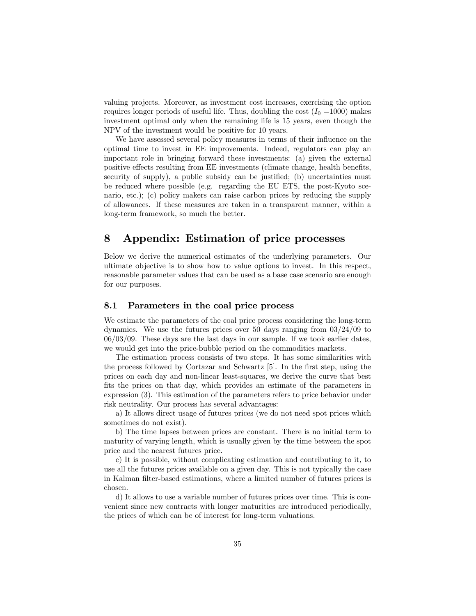valuing projects. Moreover, as investment cost increases, exercising the option requires longer periods of useful life. Thus, doubling the cost  $(I_0 = 1000)$  makes investment optimal only when the remaining life is 15 years, even though the NPV of the investment would be positive for 10 years.

We have assessed several policy measures in terms of their influence on the optimal time to invest in EE improvements. Indeed, regulators can play an important role in bringing forward these investments: (a) given the external positive effects resulting from EE investments (climate change, health benefits, security of supply), a public subsidy can be justified; (b) uncertainties must be reduced where possible (e.g. regarding the EU ETS, the post-Kyoto scenario, etc.); (c) policy makers can raise carbon prices by reducing the supply of allowances. If these measures are taken in a transparent manner, within a long-term framework, so much the better.

## 8 Appendix: Estimation of price processes

Below we derive the numerical estimates of the underlying parameters. Our ultimate objective is to show how to value options to invest. In this respect, reasonable parameter values that can be used as a base case scenario are enough for our purposes.

### 8.1 Parameters in the coal price process

We estimate the parameters of the coal price process considering the long-term dynamics. We use the futures prices over 50 days ranging from  $03/24/09$  to 06/03/09. These days are the last days in our sample. If we took earlier dates, we would get into the price-bubble period on the commodities markets.

The estimation process consists of two steps. It has some similarities with the process followed by Cortazar and Schwartz [5]. In the first step, using the prices on each day and non-linear least-squares, we derive the curve that best fits the prices on that day, which provides an estimate of the parameters in expression (3). This estimation of the parameters refers to price behavior under risk neutrality. Our process has several advantages:

a) It allows direct usage of futures prices (we do not need spot prices which sometimes do not exist).

b) The time lapses between prices are constant. There is no initial term to maturity of varying length, which is usually given by the time between the spot price and the nearest futures price.

c) It is possible, without complicating estimation and contributing to it, to use all the futures prices available on a given day. This is not typically the case in Kalman filter-based estimations, where a limited number of futures prices is chosen.

d) It allows to use a variable number of futures prices over time. This is convenient since new contracts with longer maturities are introduced periodically, the prices of which can be of interest for long-term valuations.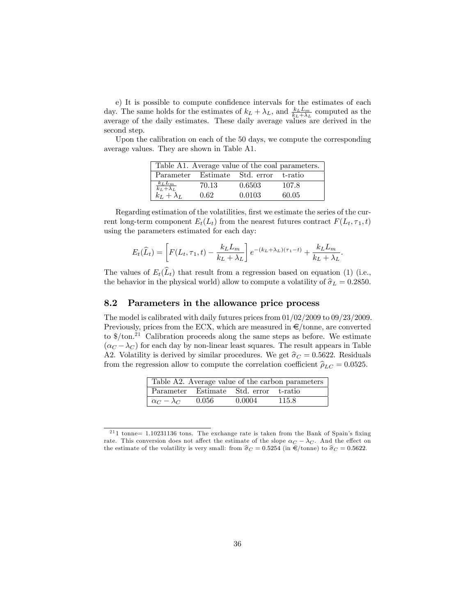e) It is possible to compute confidence intervals for the estimates of each day. The same holds for the estimates of  $k_L + \lambda_L$ , and  $\frac{k_L L_m}{k_L + \lambda_L}$  computed as the average of the daily estimates. These daily average values are derived in the second step.

Upon the calibration on each of the 50 days, we compute the corresponding average values. They are shown in Table A1.

| Table A1. Average value of the coal parameters.           |       |                                       |       |  |  |
|-----------------------------------------------------------|-------|---------------------------------------|-------|--|--|
|                                                           |       | Parameter Estimate Std. error t-ratio |       |  |  |
| $\frac{\frac{k_L L_m}{k_L + \lambda_L}}{k_L + \lambda_L}$ | 70.13 | 0.6503                                | 107.8 |  |  |
|                                                           | 0.62  | 0.0103                                | 60.05 |  |  |

Regarding estimation of the volatilities, first we estimate the series of the current long-term component  $E_t(L_t)$  from the nearest futures contract  $F(L_t, \tau_1, t)$ using the parameters estimated for each day:

$$
E_t(\widehat{L}_t) = \left[ F(L_t, \tau_1, t) - \frac{k_L L_m}{k_L + \lambda_L} \right] e^{-(k_L + \lambda_L)(\tau_1 - t)} + \frac{k_L L_m}{k_L + \lambda_L}.
$$

The values of  $E_t(\widehat{L}_t)$  that result from a regression based on equation (1) (i.e., the behavior in the physical world) allow to compute a volatility of  $\hat{\sigma}_L = 0.2850$ .

### 8.2 Parameters in the allowance price process

The model is calibrated with daily futures prices from 01/02/2009 to 09/23/2009. Previously, prices from the ECX, which are measured in  $\epsilon$ /tonne, are converted to  $\frac{1}{2}$  Calibration proceeds along the same steps as before. We estimate  $(\alpha_C - \lambda_C)$  for each day by non-linear least squares. The result appears in Table A2. Volatility is derived by similar procedures. We get  $\hat{\sigma}_C = 0.5622$ . Residuals from the regression allow to compute the correlation coefficient  $\hat{\rho}_{LC} = 0.0525$ .

| Table A2. Average value of the carbon parameters |  |                                       |       |  |  |
|--------------------------------------------------|--|---------------------------------------|-------|--|--|
|                                                  |  | Parameter Estimate Std. error t-ratio |       |  |  |
| $\alpha_C - \lambda_C = 0.056$                   |  | 0.0004                                | 115.8 |  |  |

 $211$  tonne= 1.10231136 tons. The exchange rate is taken from the Bank of Spain's fixing rate. This conversion does not affect the estimate of the slope  $\alpha_C - \lambda_C$ . And the effect on the estimate of the volatility is very small: from  $\hat{\sigma}_C = 0.5254$  (in  $\epsilon$ /tonne) to  $\hat{\sigma}_C = 0.5622$ .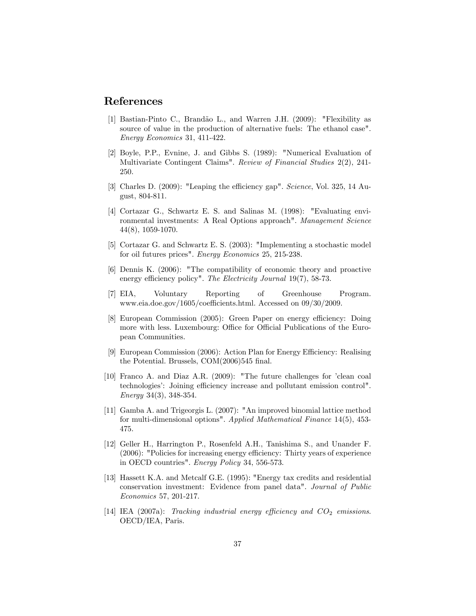### References

- [1] Bastian-Pinto C., Brandão L., and Warren J.H. (2009): "Flexibility as source of value in the production of alternative fuels: The ethanol case". Energy Economics 31, 411-422.
- [2] Boyle, P.P., Evnine, J. and Gibbs S. (1989): "Numerical Evaluation of Multivariate Contingent Claims". Review of Financial Studies 2(2), 241- 250.
- [3] Charles D. (2009): "Leaping the efficiency gap". Science, Vol. 325, 14 August, 804-811.
- [4] Cortazar G., Schwartz E. S. and Salinas M. (1998): "Evaluating environmental investments: A Real Options approach". Management Science 44(8), 1059-1070.
- [5] Cortazar G. and Schwartz E. S. (2003): "Implementing a stochastic model for oil futures prices". Energy Economics 25, 215-238.
- [6] Dennis K. (2006): "The compatibility of economic theory and proactive energy efficiency policy". The Electricity Journal 19(7), 58-73.
- [7] EIA, Voluntary Reporting of Greenhouse Program. www.eia.doe.gov/1605/coefficients.html. Accessed on  $09/30/2009$ .
- [8] European Commission (2005): Green Paper on energy efficiency: Doing more with less. Luxembourg: Office for Official Publications of the European Communities.
- [9] European Commission  $(2006)$ : Action Plan for Energy Efficiency: Realising the Potential. Brussels,  $COM(2006)545$  final.
- [10] Franco A. and Diaz A.R. (2009): "The future challenges for 'clean coal technologies': Joining efficiency increase and pollutant emission control". Energy 34(3), 348-354.
- [11] Gamba A. and Trigeorgis L. (2007): "An improved binomial lattice method for multi-dimensional options". Applied Mathematical Finance 14(5), 453- 475.
- [12] Geller H., Harrington P., Rosenfeld A.H., Tanishima S., and Unander F.  $(2006)$ : "Policies for increasing energy efficiency: Thirty years of experience in OECD countries". Energy Policy 34, 556-573.
- [13] Hassett K.A. and Metcalf G.E. (1995): "Energy tax credits and residential conservation investment: Evidence from panel data". Journal of Public Economics 57, 201-217.
- [14] IEA (2007a): Tracking industrial energy efficiency and  $CO<sub>2</sub>$  emissions. OECD/IEA, Paris.